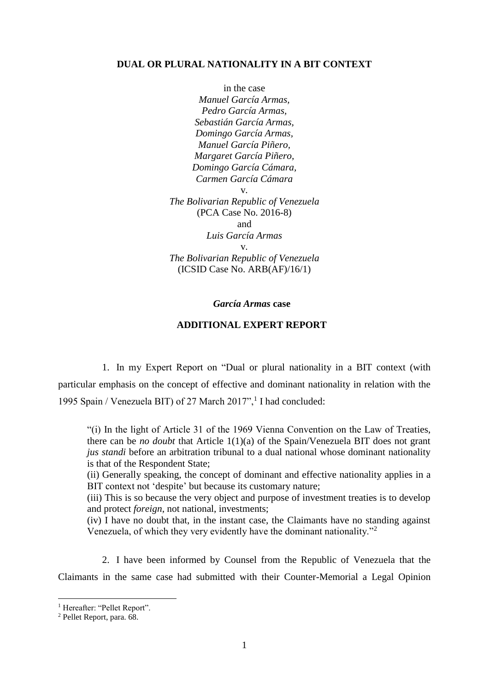## **DUAL OR PLURAL NATIONALITY IN A BIT CONTEXT**

in the case *Manuel García Armas, Pedro García Armas, Sebastián García Armas, Domingo García Armas, Manuel García Piñero, Margaret García Piñero, Domingo García Cámara, Carmen García Cámara* v*. The Bolivarian Republic of Venezuela* (PCA Case No. 2016-8) and *Luis García Armas* v*. The Bolivarian Republic of Venezuela* (ICSID Case No. ARB(AF)/16/1)

#### *García Armas* **case**

#### **ADDITIONAL EXPERT REPORT**

1. In my Expert Report on "Dual or plural nationality in a BIT context (with particular emphasis on the concept of effective and dominant nationality in relation with the 1995 Spain / Venezuela BIT) of 27 March 2017",<sup>1</sup> I had concluded:

"(i) In the light of Article 31 of the 1969 Vienna Convention on the Law of Treaties, there can be *no doubt* that Article 1(1)(a) of the Spain/Venezuela BIT does not grant *jus standi* before an arbitration tribunal to a dual national whose dominant nationality is that of the Respondent State;

(ii) Generally speaking, the concept of dominant and effective nationality applies in a BIT context not 'despite' but because its customary nature;

(iii) This is so because the very object and purpose of investment treaties is to develop and protect *foreign*, not national, investments;

(iv) I have no doubt that, in the instant case, the Claimants have no standing against Venezuela, of which they very evidently have the dominant nationality."<sup>2</sup>

2. I have been informed by Counsel from the Republic of Venezuela that the Claimants in the same case had submitted with their Counter-Memorial a Legal Opinion

<sup>&</sup>lt;sup>1</sup> Hereafter: "Pellet Report".

<sup>2</sup> Pellet Report, para. 68.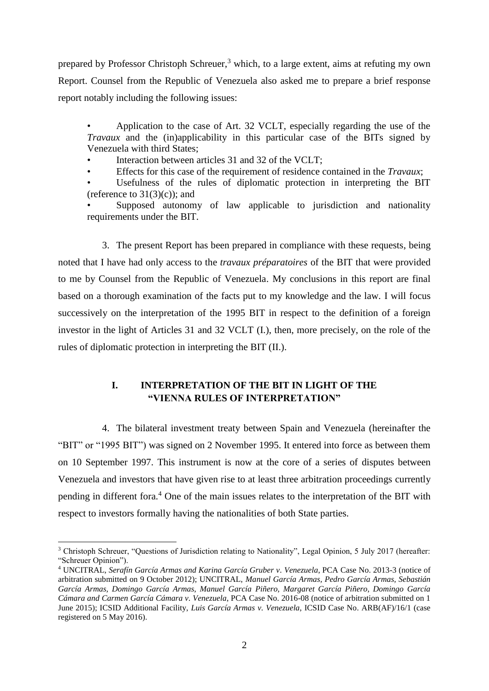prepared by Professor Christoph Schreuer,<sup>3</sup> which, to a large extent, aims at refuting my own Report. Counsel from the Republic of Venezuela also asked me to prepare a brief response report notably including the following issues:

• Application to the case of Art. 32 VCLT, especially regarding the use of the *Travaux* and the (in)applicability in this particular case of the BITs signed by Venezuela with third States;

Interaction between articles 31 and 32 of the VCLT;

• Effects for this case of the requirement of residence contained in the *Travaux*;

Usefulness of the rules of diplomatic protection in interpreting the BIT (reference to  $31(3)(c)$ ); and

Supposed autonomy of law applicable to jurisdiction and nationality requirements under the BIT.

3. The present Report has been prepared in compliance with these requests, being noted that I have had only access to the *travaux préparatoires* of the BIT that were provided to me by Counsel from the Republic of Venezuela. My conclusions in this report are final based on a thorough examination of the facts put to my knowledge and the law. I will focus successively on the interpretation of the 1995 BIT in respect to the definition of a foreign investor in the light of Articles 31 and 32 VCLT (I.), then, more precisely, on the role of the rules of diplomatic protection in interpreting the BIT (II.).

## **I. INTERPRETATION OF THE BIT IN LIGHT OF THE "VIENNA RULES OF INTERPRETATION"**

4. The bilateral investment treaty between Spain and Venezuela (hereinafter the "BIT" or "1995 BIT") was signed on 2 November 1995. It entered into force as between them on 10 September 1997. This instrument is now at the core of a series of disputes between Venezuela and investors that have given rise to at least three arbitration proceedings currently pending in different fora.<sup>4</sup> One of the main issues relates to the interpretation of the BIT with respect to investors formally having the nationalities of both State parties.

<sup>&</sup>lt;sup>3</sup> Christoph Schreuer, "Questions of Jurisdiction relating to Nationality", Legal Opinion, 5 July 2017 (hereafter: "Schreuer Opinion").

<sup>4</sup> UNCITRAL, *Serafín García Armas and Karina García Gruber v. Venezuela*, PCA Case No. 2013-3 (notice of arbitration submitted on 9 October 2012); UNCITRAL, *Manuel García Armas, Pedro García Armas, Sebastián García Armas, Domingo García Armas, Manuel García Piñero, Margaret García Piñero, Domingo García Cámara and Carmen García Cámara v. Venezuela*, PCA Case No. 2016-08 (notice of arbitration submitted on 1 June 2015); ICSID Additional Facility, *Luis García Armas v. Venezuela*, ICSID Case No. ARB(AF)/16/1 (case registered on 5 May 2016).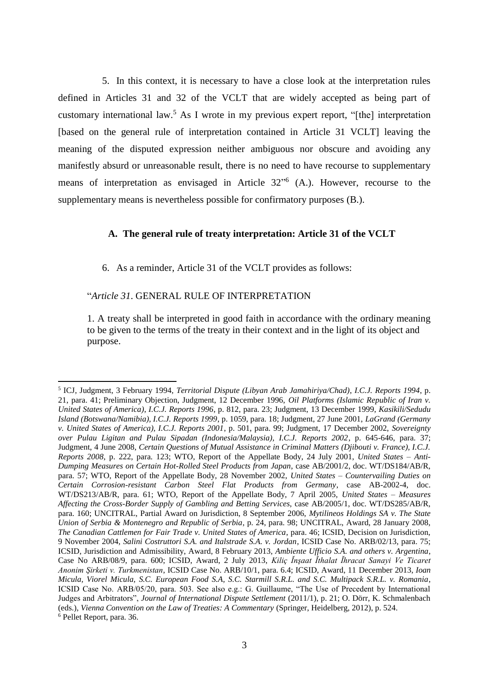<span id="page-2-0"></span>5. In this context, it is necessary to have a close look at the interpretation rules defined in Articles 31 and 32 of the VCLT that are widely accepted as being part of customary international law.<sup>5</sup> As I wrote in my previous expert report, "[the] interpretation [based on the general rule of interpretation contained in Article 31 VCLT] leaving the meaning of the disputed expression neither ambiguous nor obscure and avoiding any manifestly absurd or unreasonable result, there is no need to have recourse to supplementary means of interpretation as envisaged in Article 32" 6 (A.). However, recourse to the supplementary means is nevertheless possible for confirmatory purposes (B.).

## **A. The general rule of treaty interpretation: Article 31 of the VCLT**

6. As a reminder, Article 31 of the VCLT provides as follows:

## "*Article 31*. GENERAL RULE OF INTERPRETATION

**.** 

1. A treaty shall be interpreted in good faith in accordance with the ordinary meaning to be given to the terms of the treaty in their context and in the light of its object and purpose.

<sup>5</sup> ICJ, Judgment, 3 February 1994, *Territorial Dispute (Libyan Arab Jamahiriya/Chad)*, *I.C.J. Reports 1994*, p. 21, para. 41; Preliminary Objection, Judgment, 12 December 1996, *Oil Platforms (Islamic Republic of Iran v. United States of America)*, *I.C.J. Reports 1996*, p. 812, para. 23; Judgment, 13 December 1999, *Kasikili/Sedudu Island (Botswana/Namibia), I.C.J. Reports 1999*, p. 1059, para. 18; Judgment, 27 June 2001, *LaGrand (Germany v. United States of America), I.C.J. Reports 2001*, p. 501, para. 99; Judgment, 17 December 2002, *Sovereignty over Pulau Ligitan and Pulau Sipadan (Indonesia/Malaysia), I.C.J. Reports 2002*, p. 645-646, para. 37; Judgment, 4 June 2008, *Certain Questions of Mutual Assistance in Criminal Matters (Djibouti v. France), I.C.J. Reports 2008*, p. 222, para. 123; WTO, Report of the Appellate Body, 24 July 2001, *United States – Anti-Dumping Measures on Certain Hot-Rolled Steel Products from Japan*, case AB/2001/2, doc. WT/DS184/AB/R, para. 57; WTO, Report of the Appellate Body, 28 November 2002, *United States – Countervailing Duties on Certain Corrosion-resistant Carbon Steel Flat Products from Germany*, case AB-2002-4, doc. WT/DS213/AB/R, para. 61; WTO, Report of the Appellate Body, 7 April 2005, *United States – Measures Affecting the Cross-Border Supply of Gambling and Betting Services*, case AB/2005/1, doc. WT/DS285/AB/R, para. 160; UNCITRAL, Partial Award on Jurisdiction, 8 September 2006, *Mytilineos Holdings SA v. The State Union of Serbia & Montenegro and Republic of Serbia*, p. 24, para. 98; UNCITRAL, Award, 28 January 2008, *The Canadian Cattlemen for Fair Trade v. United States of America*, para. 46; ICSID, Decision on Jurisdiction, 9 November 2004, *Salini Costruttori S.A. and Italstrade S.A. v. Jordan*, ICSID Case No. ARB/02/13, para. 75; ICSID, Jurisdiction and Admissibility, Award, 8 February 2013, *Ambiente Ufficio S.A. and others v. Argentina*, Case No ARB/08/9, para. 600; ICSID, Award, 2 July 2013, *Kiliç Ĭnşaat Ĭthalat Ĭhracat Sanayi Ve Ticaret Anonim Şirketi v. Turkmenistan*, ICSID Case No. ARB/10/1, para. 6.4; ICSID, Award, 11 December 2013, *Ioan Micula, Viorel Micula, S.C. European Food S.A, S.C. Starmill S.R.L. and S.C. Multipack S.R.L. v. Romania*, ICSID Case No. ARB/05/20, para. 503. See also e.g.: G. Guillaume, "The Use of Precedent by International Judges and Arbitrators", *Journal of International Dispute Settlement* (2011/1), p. 21; O. Dörr, K. Schmalenbach (eds.), *Vienna Convention on the Law of Treaties: A Commentary* (Springer, Heidelberg, 2012), p. 524. <sup>6</sup> Pellet Report, para. 36.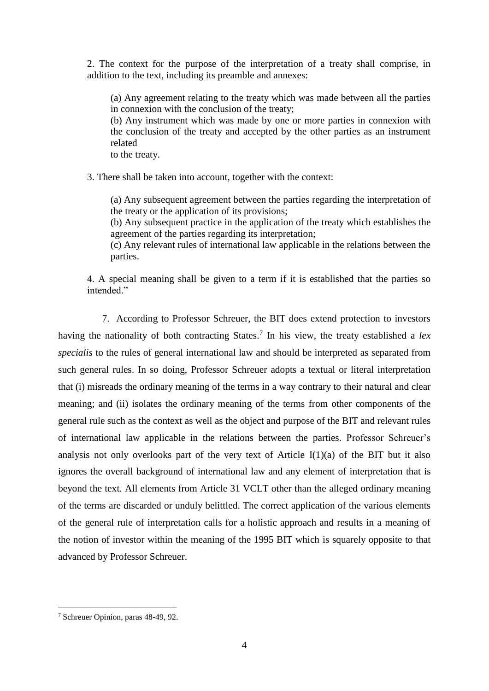2. The context for the purpose of the interpretation of a treaty shall comprise, in addition to the text, including its preamble and annexes:

(a) Any agreement relating to the treaty which was made between all the parties in connexion with the conclusion of the treaty;

(b) Any instrument which was made by one or more parties in connexion with the conclusion of the treaty and accepted by the other parties as an instrument related

to the treaty.

3. There shall be taken into account, together with the context:

(a) Any subsequent agreement between the parties regarding the interpretation of the treaty or the application of its provisions;

(b) Any subsequent practice in the application of the treaty which establishes the agreement of the parties regarding its interpretation;

(c) Any relevant rules of international law applicable in the relations between the parties.

4. A special meaning shall be given to a term if it is established that the parties so intended."

7. According to Professor Schreuer, the BIT does extend protection to investors having the nationality of both contracting States.<sup>7</sup> In his view, the treaty established a *lex specialis* to the rules of general international law and should be interpreted as separated from such general rules. In so doing, Professor Schreuer adopts a textual or literal interpretation that (i) misreads the ordinary meaning of the terms in a way contrary to their natural and clear meaning; and (ii) isolates the ordinary meaning of the terms from other components of the general rule such as the context as well as the object and purpose of the BIT and relevant rules of international law applicable in the relations between the parties. Professor Schreuer's analysis not only overlooks part of the very text of Article  $I(1)(a)$  of the BIT but it also ignores the overall background of international law and any element of interpretation that is beyond the text. All elements from Article 31 VCLT other than the alleged ordinary meaning of the terms are discarded or unduly belittled. The correct application of the various elements of the general rule of interpretation calls for a holistic approach and results in a meaning of the notion of investor within the meaning of the 1995 BIT which is squarely opposite to that advanced by Professor Schreuer.

**<sup>.</sup>** <sup>7</sup> Schreuer Opinion, paras 48-49, 92.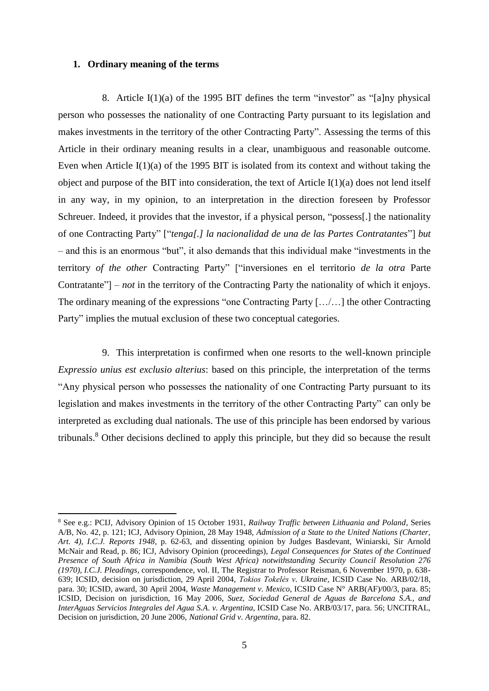#### **1. Ordinary meaning of the terms**

1

8. Article  $I(1)(a)$  of the 1995 BIT defines the term "investor" as "[a]ny physical person who possesses the nationality of one Contracting Party pursuant to its legislation and makes investments in the territory of the other Contracting Party". Assessing the terms of this Article in their ordinary meaning results in a clear, unambiguous and reasonable outcome. Even when Article  $I(1)(a)$  of the 1995 BIT is isolated from its context and without taking the object and purpose of the BIT into consideration, the text of Article I(1)(a) does not lend itself in any way, in my opinion, to an interpretation in the direction foreseen by Professor Schreuer. Indeed, it provides that the investor, if a physical person, "possess[.] the nationality of one Contracting Party" ["*tenga[.] la nacionalidad de una de las Partes Contratantes*"] *but* – and this is an enormous "but", it also demands that this individual make "investments in the territory *of the other* Contracting Party" ["inversiones en el territorio *de la otra* Parte Contratante"] – *not* in the territory of the Contracting Party the nationality of which it enjoys. The ordinary meaning of the expressions "one Contracting Party […/…] the other Contracting Party" implies the mutual exclusion of these two conceptual categories.

9. This interpretation is confirmed when one resorts to the well-known principle *Expressio unius est exclusio alterius*: based on this principle, the interpretation of the terms "Any physical person who possesses the nationality of one Contracting Party pursuant to its legislation and makes investments in the territory of the other Contracting Party" can only be interpreted as excluding dual nationals. The use of this principle has been endorsed by various tribunals.<sup>8</sup> Other decisions declined to apply this principle, but they did so because the result

<sup>8</sup> See e.g.: PCIJ, Advisory Opinion of 15 October 1931, *Railway Traffic between Lithuania and Poland*, Series A/B, No. 42, p. 121; ICJ, Advisory Opinion, 28 May 1948, *Admission of a State to the United Nations (Charter, Art. 4), I.C.J. Reports 1948*, p. 62-63, and dissenting opinion by Judges Basdevant, Winiarski, Sir Arnold McNair and Read, p. 86; ICJ, Advisory Opinion (proceedings), *Legal Consequences for States of the Continued Presence of South Africa in Namibia (South West Africa) notwithstanding Security Council Resolution 276 (1970), I.C.J. Pleadings*, correspondence, vol. II, The Registrar to Professor Reisman, 6 November 1970, p. 638- 639; ICSID, decision on jurisdiction, 29 April 2004, *Tokios Tokelės v. Ukraine*, ICSID Case No. ARB/02/18, para. 30; ICSID, award, 30 April 2004, *Waste Management v. Mexico*, ICSID Case N° ARB(AF)/00/3, para. 85; ICSID, Decision on jurisdiction, 16 May 2006, *Suez, Sociedad General de Aguas de Barcelona S.A., and InterAguas Servicios Integrales del Agua S.A*. *v. Argentina*, ICSID Case No. ARB/03/17, para. 56; UNCITRAL, Decision on jurisdiction, 20 June 2006, *National Grid v. Argentina*, para. 82.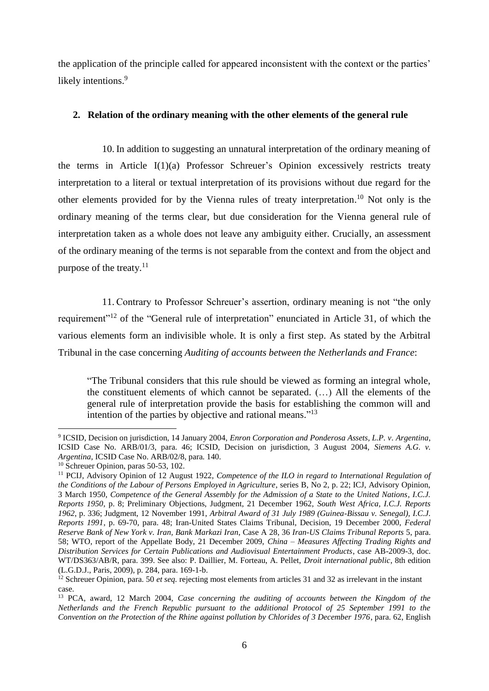the application of the principle called for appeared inconsistent with the context or the parties' likely intentions.<sup>9</sup>

## **2. Relation of the ordinary meaning with the other elements of the general rule**

<span id="page-5-0"></span>10. In addition to suggesting an unnatural interpretation of the ordinary meaning of the terms in Article I(1)(a) Professor Schreuer's Opinion excessively restricts treaty interpretation to a literal or textual interpretation of its provisions without due regard for the other elements provided for by the Vienna rules of treaty interpretation.<sup>10</sup> Not only is the ordinary meaning of the terms clear, but due consideration for the Vienna general rule of interpretation taken as a whole does not leave any ambiguity either. Crucially, an assessment of the ordinary meaning of the terms is not separable from the context and from the object and purpose of the treaty.<sup>11</sup>

<span id="page-5-1"></span>11. Contrary to Professor Schreuer's assertion, ordinary meaning is not "the only requirement"<sup>12</sup> of the "General rule of interpretation" enunciated in Article 31, of which the various elements form an indivisible whole. It is only a first step. As stated by the Arbitral Tribunal in the case concerning *Auditing of accounts between the Netherlands and France*:

<span id="page-5-2"></span>"The Tribunal considers that this rule should be viewed as forming an integral whole, the constituent elements of which cannot be separated. (…) All the elements of the general rule of interpretation provide the basis for establishing the common will and intention of the parties by objective and rational means."<sup>13</sup>

<sup>9</sup> ICSID, Decision on jurisdiction, 14 January 2004, *Enron Corporation and Ponderosa Assets, L.P. v. Argentina*, ICSID Case No. ARB/01/3, para. 46; ICSID, Decision on jurisdiction, 3 August 2004, *Siemens A.G. v. Argentina*, ICSID Case No. ARB/02/8, para. 140.

<sup>&</sup>lt;sup>10</sup> Schreuer Opinion, paras 50-53, 102.

<sup>11</sup> PCIJ, Advisory Opinion of 12 August 1922, *Competence of the ILO in regard to International Regulation of the Conditions of the Labour of Persons Employed in Agriculture*, series B, No 2, p. 22; ICJ, Advisory Opinion, 3 March 1950, *Competence of the General Assembly for the Admission of a State to the United Nations*, *I.C.J. Reports 1950*, p. 8; Preliminary Objections, Judgment, 21 December 1962, *South West Africa, I.C.J. Reports 1962*, p. 336; Judgment, 12 November 1991, *Arbitral Award of 31 July 1989 (Guinea-Bissau v. Senegal)*, *I.C.J. Reports 1991*, p. 69-70, para. 48; Iran-United States Claims Tribunal, Decision, 19 December 2000, *Federal Reserve Bank of New York v. Iran, Bank Markazi Iran*, Case A 28, 36 *Iran-US Claims Tribunal Reports* 5, para. 58; WTO, report of the Appellate Body, 21 December 2009, *China – Measures Affecting Trading Rights and Distribution Services for Certain Publications and Audiovisual Entertainment Products*, case AB-2009-3, doc. WT/DS363/AB/R, para. 399. See also: P. Daillier, M. Forteau, A. Pellet, *Droit international public*, 8th edition (L.G.D.J., Paris, 2009), p. 284, para. 169-1-b.

<sup>&</sup>lt;sup>12</sup> Schreuer Opinion, para. 50 *et seq.* rejecting most elements from articles 31 and 32 as irrelevant in the instant case.

<sup>13</sup> PCA, award, 12 March 2004, *Case concerning the auditing of accounts between the Kingdom of the Netherlands and the French Republic pursuant to the additional Protocol of 25 September 1991 to the Convention on the Protection of the Rhine against pollution by Chlorides of 3 December 1976*, para. 62, English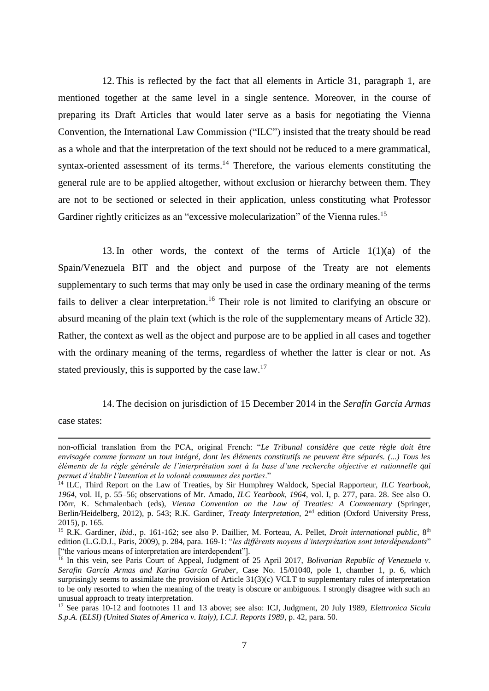<span id="page-6-0"></span>12. This is reflected by the fact that all elements in Article 31, paragraph 1, are mentioned together at the same level in a single sentence. Moreover, in the course of preparing its Draft Articles that would later serve as a basis for negotiating the Vienna Convention, the International Law Commission ("ILC") insisted that the treaty should be read as a whole and that the interpretation of the text should not be reduced to a mere grammatical, syntax-oriented assessment of its terms. $14$  Therefore, the various elements constituting the general rule are to be applied altogether, without exclusion or hierarchy between them. They are not to be sectioned or selected in their application, unless constituting what Professor Gardiner rightly criticizes as an "excessive molecularization" of the Vienna rules.<sup>15</sup>

13. In other words, the context of the terms of Article 1(1)(a) of the Spain/Venezuela BIT and the object and purpose of the Treaty are not elements supplementary to such terms that may only be used in case the ordinary meaning of the terms fails to deliver a clear interpretation.<sup>16</sup> Their role is not limited to clarifying an obscure or absurd meaning of the plain text (which is the role of the supplementary means of Article 32). Rather, the context as well as the object and purpose are to be applied in all cases and together with the ordinary meaning of the terms, regardless of whether the latter is clear or not. As stated previously, this is supported by the case law.<sup>17</sup>

14. The decision on jurisdiction of 15 December 2014 in the *Serafín García Armas* case states:

non-official translation from the PCA, original French: "*Le Tribunal considère que cette règle doit être envisagée comme formant un tout intégré, dont les éléments constitutifs ne peuvent être séparés. (...) Tous les éléments de la règle générale de l'interprétation sont à la base d'une recherche objective et rationnelle qui permet d'établir l'intention et la volonté communes des parties*."

<sup>14</sup> ILC, Third Report on the Law of Treaties, by Sir Humphrey Waldock, Special Rapporteur, *ILC Yearbook, 1964*, vol. II, p. 55–56; observations of Mr. Amado, *ILC Yearbook, 1964*, vol. I, p. 277, para. 28. See also O. Dörr, K. Schmalenbach (eds), *Vienna Convention on the Law of Treaties: A Commentary* (Springer, Berlin/Heidelberg, 2012), p. 543; R.K. Gardiner, *Treaty Interpretation*, 2nd edition (Oxford University Press, 2015), p. 165.

<sup>&</sup>lt;sup>15</sup> R.K. Gardiner, *ibid.*, p. 161-162; see also P. Daillier, M. Forteau, A. Pellet, *Droit international public*, 8<sup>th</sup> edition (L.G.D.J., Paris, 2009), p. 284, para. 169-1: "*les différents moyens d'interprétation sont interdépendants*" ["the various means of interpretation are interdependent"].

<sup>&</sup>lt;sup>16</sup> In this vein, see Paris Court of Appeal, Judgment of 25 April 2017, *Bolivarian Republic of Venezuela v. Serafin García Armas and Karina García Gruber*, Case No. 15/01040, pole 1, chamber 1, p. 6, which surprisingly seems to assimilate the provision of Article 31(3)(c) VCLT to supplementary rules of interpretation to be only resorted to when the meaning of the treaty is obscure or ambiguous. I strongly disagree with such an unusual approach to treaty interpretation.

<sup>17</sup> See paras [10](#page-5-0)[-12](#page-6-0) and footnotes [11](#page-5-1) and [13](#page-5-2) above; see also: ICJ, Judgment, 20 July 1989, *Elettronica Sicula S.p.A. (ELSI) (United States of America v. Italy), I.C.J. Reports 1989*, p. 42, para. 50.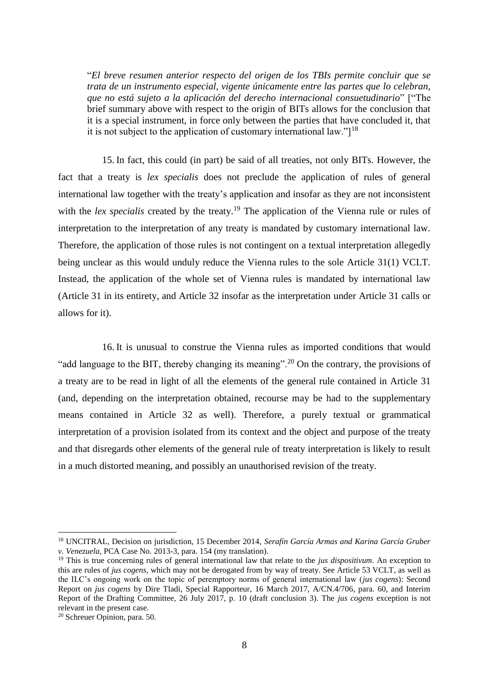"*El breve resumen anterior respecto del origen de los TBIs permite concluir que se trata de un instrumento especial, vigente únicamente entre las partes que lo celebran, que no está sujeto a la aplicación del derecho internacional consuetudinario*" ["The brief summary above with respect to the origin of BITs allows for the conclusion that it is a special instrument, in force only between the parties that have concluded it, that it is not subject to the application of customary international law." $]^{18}$ 

15. In fact, this could (in part) be said of all treaties, not only BITs. However, the fact that a treaty is *lex specialis* does not preclude the application of rules of general international law together with the treaty's application and insofar as they are not inconsistent with the *lex specialis* created by the treaty.<sup>19</sup> The application of the Vienna rule or rules of interpretation to the interpretation of any treaty is mandated by customary international law. Therefore, the application of those rules is not contingent on a textual interpretation allegedly being unclear as this would unduly reduce the Vienna rules to the sole Article 31(1) VCLT. Instead, the application of the whole set of Vienna rules is mandated by international law (Article 31 in its entirety, and Article 32 insofar as the interpretation under Article 31 calls or allows for it).

16. It is unusual to construe the Vienna rules as imported conditions that would "add language to the BIT, thereby changing its meaning".<sup>20</sup> On the contrary, the provisions of a treaty are to be read in light of all the elements of the general rule contained in Article 31 (and, depending on the interpretation obtained, recourse may be had to the supplementary means contained in Article 32 as well). Therefore, a purely textual or grammatical interpretation of a provision isolated from its context and the object and purpose of the treaty and that disregards other elements of the general rule of treaty interpretation is likely to result in a much distorted meaning, and possibly an unauthorised revision of the treaty.

<sup>18</sup> UNCITRAL, Decision on jurisdiction, 15 December 2014, *Serafín García Armas and Karina García Gruber v. Venezuela*, PCA Case No. 2013-3, para. 154 (my translation).

<sup>19</sup> This is true concerning rules of general international law that relate to the *jus dispositivum*. An exception to this are rules of *jus cogens*, which may not be derogated from by way of treaty. See Article 53 VCLT, as well as the ILC's ongoing work on the topic of peremptory norms of general international law (*jus cogens*): Second Report on *jus cogens* by Dire Tladi, Special Rapporteur, 16 March 2017, A/CN.4/706, para. 60, and Interim Report of the Drafting Committee, 26 July 2017, p. 10 (draft conclusion 3). The *jus cogens* exception is not relevant in the present case.

<sup>20</sup> Schreuer Opinion, para. 50.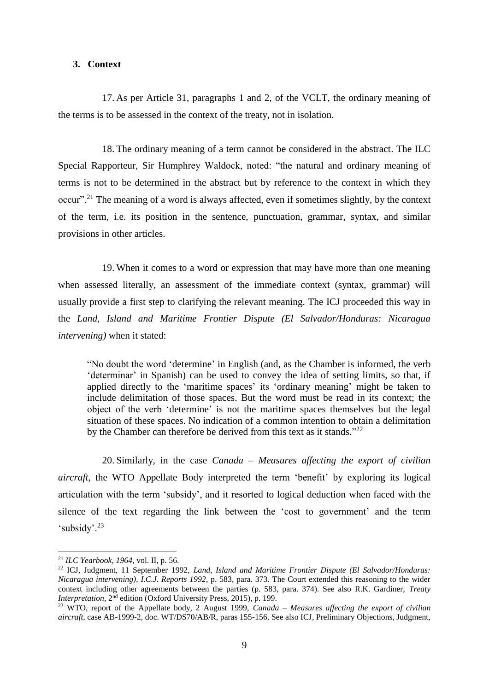## **3. Context**

17. As per Article 31, paragraphs 1 and 2, of the VCLT, the ordinary meaning of the terms is to be assessed in the context of the treaty, not in isolation.

18. The ordinary meaning of a term cannot be considered in the abstract. The ILC Special Rapporteur, Sir Humphrey Waldock, noted: "the natural and ordinary meaning of terms is not to be determined in the abstract but by reference to the context in which they occur"<sup>21</sup>. The meaning of a word is always affected, even if sometimes slightly, by the context of the term, i.e. its position in the sentence, punctuation, grammar, syntax, and similar provisions in other articles.

19. When it comes to a word or expression that may have more than one meaning when assessed literally, an assessment of the immediate context (syntax, grammar) will usually provide a first step to clarifying the relevant meaning. The ICJ proceeded this way in the *Land, Island and Maritime Frontier Dispute (El Salvador/Honduras: Nicaragua intervening)* when it stated:

"No doubt the word 'determine' in English (and, as the Chamber is informed, the verb 'determinar' in Spanish) can be used to convey the idea of setting limits, so that, if applied directly to the 'maritime spaces' its 'ordinary meaning' might be taken to include delimitation of those spaces. But the word must be read in its context; the object of the verb 'determine' is not the maritime spaces themselves but the legal situation of these spaces. No indication of a common intention to obtain a delimitation by the Chamber can therefore be derived from this text as it stands."<sup>22</sup>

20. Similarly, in the case *Canada – Measures affecting the export of civilian aircraft*, the WTO Appellate Body interpreted the term 'benefit' by exploring its logical articulation with the term 'subsidy', and it resorted to logical deduction when faced with the silence of the text regarding the link between the 'cost to government' and the term 'subsidy'.<sup>23</sup>

<sup>21</sup> *ILC Yearbook, 1964*, vol. II, p. 56.

<sup>&</sup>lt;sup>22</sup> ICJ, Judgment, 11 September 1992, *Land, Island and Maritime Frontier Dispute (El Salvador/Honduras: Nicaragua intervening)*, *I.C.J. Reports 1992*, p. 583, para. 373. The Court extended this reasoning to the wider context including other agreements between the parties (p. 583, para. 374). See also R.K. Gardiner, *Treaty Interpretation*,  $2^{nd}$  edition (Oxford University Press, 2015), p. 199.

<sup>23</sup> WTO, report of the Appellate body, 2 August 1999, *Canada – Measures affecting the export of civilian aircraft*, case AB-1999-2, doc. WT/DS70/AB/R, paras 155-156. See also ICJ, Preliminary Objections, Judgment,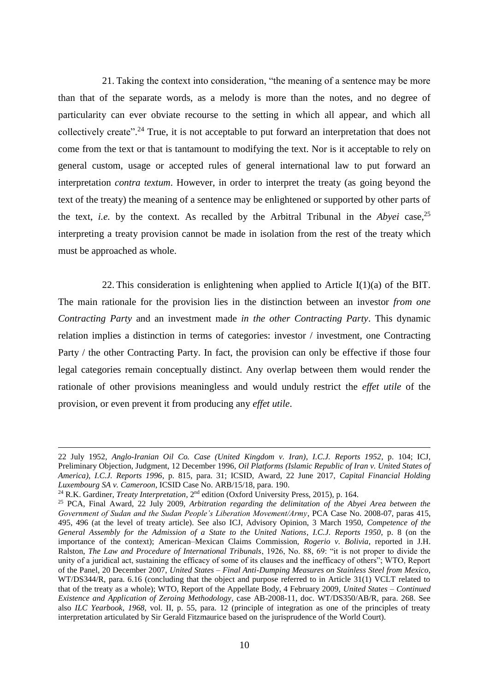21. Taking the context into consideration, "the meaning of a sentence may be more than that of the separate words, as a melody is more than the notes, and no degree of particularity can ever obviate recourse to the setting in which all appear, and which all collectively create".<sup>24</sup> True, it is not acceptable to put forward an interpretation that does not come from the text or that is tantamount to modifying the text. Nor is it acceptable to rely on general custom, usage or accepted rules of general international law to put forward an interpretation *contra textum*. However, in order to interpret the treaty (as going beyond the text of the treaty) the meaning of a sentence may be enlightened or supported by other parts of the text, *i.e.* by the context. As recalled by the Arbitral Tribunal in the *Abyei* case,  $2^5$ interpreting a treaty provision cannot be made in isolation from the rest of the treaty which must be approached as whole.

<span id="page-9-0"></span>22. This consideration is enlightening when applied to Article  $I(1)(a)$  of the BIT. The main rationale for the provision lies in the distinction between an investor *from one Contracting Party* and an investment made *in the other Contracting Party*. This dynamic relation implies a distinction in terms of categories: investor / investment, one Contracting Party / the other Contracting Party. In fact, the provision can only be effective if those four legal categories remain conceptually distinct. Any overlap between them would render the rationale of other provisions meaningless and would unduly restrict the *effet utile* of the provision, or even prevent it from producing any *effet utile*.

<sup>22</sup> July 1952, *Anglo-Iranian Oil Co. Case (United Kingdom v. Iran)*, *I.C.J. Reports 1952*, p. 104; ICJ, Preliminary Objection, Judgment, 12 December 1996, *Oil Platforms (Islamic Republic of Iran v. United States of America)*, *I.C.J. Reports 1996*, p. 815, para. 31; ICSID, Award, 22 June 2017, *Capital Financial Holding Luxembourg SA v. Cameroon*, ICSID Case No. ARB/15/18, para. 190.

<sup>&</sup>lt;sup>24</sup> R.K. Gardiner, *Treaty Interpretation*, 2<sup>nd</sup> edition (Oxford University Press, 2015), p. 164.

<sup>25</sup> PCA, Final Award, 22 July 2009, *Arbitration regarding the delimitation of the Abyei Area between the Government of Sudan and the Sudan People's Liberation Movement/Army*, PCA Case No. 2008-07, paras 415, 495, 496 (at the level of treaty article). See also ICJ, Advisory Opinion, 3 March 1950, *Competence of the General Assembly for the Admission of a State to the United Nations*, *I.C.J. Reports 1950*, p. 8 (on the importance of the context); American–Mexican Claims Commission, *Rogerio v. Bolivia*, reported in J.H. Ralston, *The Law and Procedure of International Tribunals*, 1926, No. 88, 69: "it is not proper to divide the unity of a juridical act, sustaining the efficacy of some of its clauses and the inefficacy of others"; WTO, Report of the Panel, 20 December 2007, *United States – Final Anti-Dumping Measures on Stainless Steel from Mexico*, WT/DS344/R, para. 6.16 (concluding that the object and purpose referred to in Article 31(1) VCLT related to that of the treaty as a whole); WTO, Report of the Appellate Body, 4 February 2009, *United States – Continued Existence and Application of Zeroing Methodology*, case AB-2008-11, doc. WT/DS350/AB/R, para. 268. See also *ILC Yearbook, 1968*, vol. II, p. 55, para. 12 (principle of integration as one of the principles of treaty interpretation articulated by Sir Gerald Fitzmaurice based on the jurisprudence of the World Court).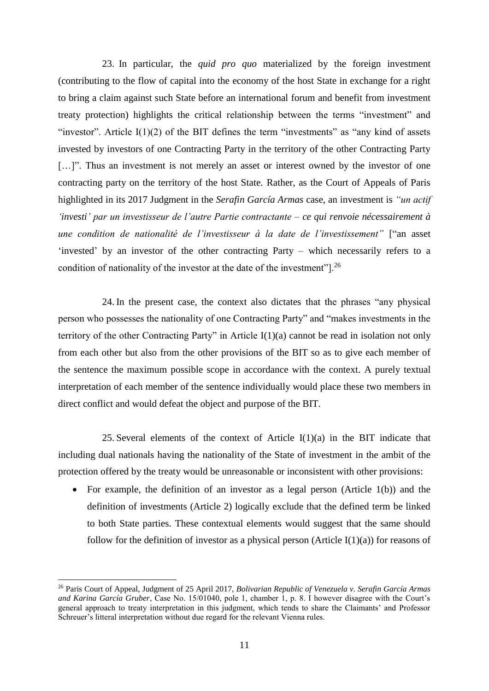23. In particular, the *quid pro quo* materialized by the foreign investment (contributing to the flow of capital into the economy of the host State in exchange for a right to bring a claim against such State before an international forum and benefit from investment treaty protection) highlights the critical relationship between the terms "investment" and "investor". Article  $I(1)(2)$  of the BIT defines the term "investments" as "any kind of assets invested by investors of one Contracting Party in the territory of the other Contracting Party [...]". Thus an investment is not merely an asset or interest owned by the investor of one contracting party on the territory of the host State. Rather, as the Court of Appeals of Paris highlighted in its 2017 Judgment in the *Serafin García Armas* case, an investment is *"un actif 'investi' par un investisseur de l'autre Partie contractante – ce qui renvoie nécessairement à une condition de nationalité de l'investisseur à la date de l'investissement"* ["an asset 'invested' by an investor of the other contracting Party – which necessarily refers to a condition of nationality of the investor at the date of the investment" $l^{26}$ .

24. In the present case, the context also dictates that the phrases "any physical person who possesses the nationality of one Contracting Party" and "makes investments in the territory of the other Contracting Party" in Article I(1)(a) cannot be read in isolation not only from each other but also from the other provisions of the BIT so as to give each member of the sentence the maximum possible scope in accordance with the context. A purely textual interpretation of each member of the sentence individually would place these two members in direct conflict and would defeat the object and purpose of the BIT.

<span id="page-10-0"></span>25. Several elements of the context of Article I(1)(a) in the BIT indicate that including dual nationals having the nationality of the State of investment in the ambit of the protection offered by the treaty would be unreasonable or inconsistent with other provisions:

• For example, the definition of an investor as a legal person (Article 1(b)) and the definition of investments (Article 2) logically exclude that the defined term be linked to both State parties. These contextual elements would suggest that the same should follow for the definition of investor as a physical person (Article  $I(1)(a)$ ) for reasons of

<sup>26</sup> Paris Court of Appeal, Judgment of 25 April 2017, *Bolivarian Republic of Venezuela v. Serafin García Armas and Karina García Gruber*, Case No. 15/01040, pole 1, chamber 1, p. 8. I however disagree with the Court's general approach to treaty interpretation in this judgment, which tends to share the Claimants' and Professor Schreuer's litteral interpretation without due regard for the relevant Vienna rules.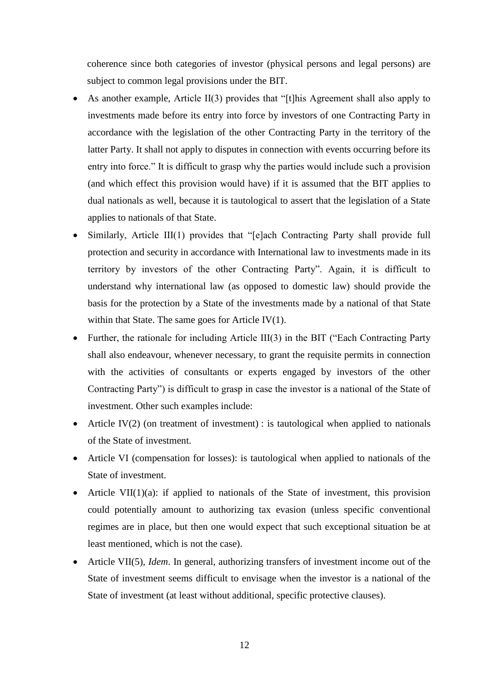coherence since both categories of investor (physical persons and legal persons) are subject to common legal provisions under the BIT.

- As another example, Article II(3) provides that "[t] his Agreement shall also apply to investments made before its entry into force by investors of one Contracting Party in accordance with the legislation of the other Contracting Party in the territory of the latter Party. It shall not apply to disputes in connection with events occurring before its entry into force." It is difficult to grasp why the parties would include such a provision (and which effect this provision would have) if it is assumed that the BIT applies to dual nationals as well, because it is tautological to assert that the legislation of a State applies to nationals of that State.
- Similarly, Article III(1) provides that "[e]ach Contracting Party shall provide full protection and security in accordance with International law to investments made in its territory by investors of the other Contracting Party". Again, it is difficult to understand why international law (as opposed to domestic law) should provide the basis for the protection by a State of the investments made by a national of that State within that State. The same goes for Article IV $(1)$ .
- Further, the rationale for including Article III(3) in the BIT ("Each Contracting Party" shall also endeavour, whenever necessary, to grant the requisite permits in connection with the activities of consultants or experts engaged by investors of the other Contracting Party") is difficult to grasp in case the investor is a national of the State of investment. Other such examples include:
- Article IV(2) (on treatment of investment) : is tautological when applied to nationals of the State of investment.
- Article VI (compensation for losses): is tautological when applied to nationals of the State of investment.
- Article VII(1)(a): if applied to nationals of the State of investment, this provision could potentially amount to authorizing tax evasion (unless specific conventional regimes are in place, but then one would expect that such exceptional situation be at least mentioned, which is not the case).
- Article VII(5), *Idem*. In general, authorizing transfers of investment income out of the State of investment seems difficult to envisage when the investor is a national of the State of investment (at least without additional, specific protective clauses).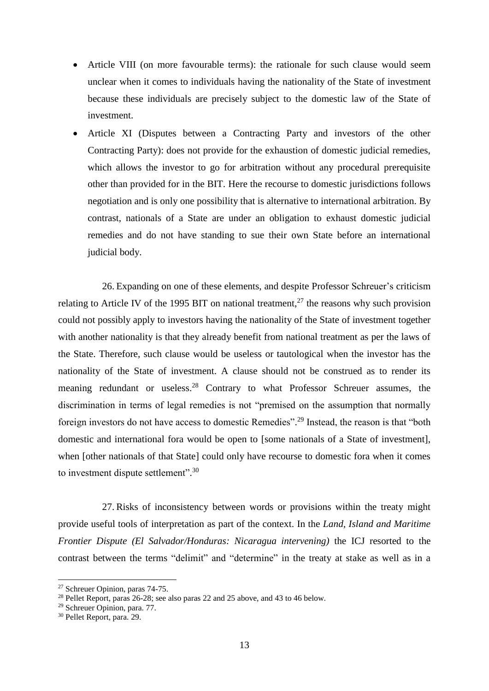- Article VIII (on more favourable terms): the rationale for such clause would seem unclear when it comes to individuals having the nationality of the State of investment because these individuals are precisely subject to the domestic law of the State of investment.
- Article XI (Disputes between a Contracting Party and investors of the other Contracting Party): does not provide for the exhaustion of domestic judicial remedies, which allows the investor to go for arbitration without any procedural prerequisite other than provided for in the BIT. Here the recourse to domestic jurisdictions follows negotiation and is only one possibility that is alternative to international arbitration. By contrast, nationals of a State are under an obligation to exhaust domestic judicial remedies and do not have standing to sue their own State before an international judicial body.

26. Expanding on one of these elements, and despite Professor Schreuer's criticism relating to Article IV of the 1995 BIT on national treatment,<sup>27</sup> the reasons why such provision could not possibly apply to investors having the nationality of the State of investment together with another nationality is that they already benefit from national treatment as per the laws of the State. Therefore, such clause would be useless or tautological when the investor has the nationality of the State of investment. A clause should not be construed as to render its meaning redundant or useless.<sup>28</sup> Contrary to what Professor Schreuer assumes, the discrimination in terms of legal remedies is not "premised on the assumption that normally foreign investors do not have access to domestic Remedies".<sup>29</sup> Instead, the reason is that "both domestic and international fora would be open to [some nationals of a State of investment], when [other nationals of that State] could only have recourse to domestic fora when it comes to investment dispute settlement".<sup>30</sup>

27. Risks of inconsistency between words or provisions within the treaty might provide useful tools of interpretation as part of the context. In the *Land, Island and Maritime Frontier Dispute (El Salvador/Honduras: Nicaragua intervening)* the ICJ resorted to the contrast between the terms "delimit" and "determine" in the treaty at stake as well as in a

<sup>27</sup> Schreuer Opinion, paras 74-75.

<sup>&</sup>lt;sup>28</sup> Pellet Report, paras 26-28; see also paras [22](#page-9-0) and [25](#page-10-0) above, and [43](#page-18-0) t[o 46](#page-20-0) below.

<sup>29</sup> Schreuer Opinion, para. 77.

<sup>30</sup> Pellet Report, para. 29.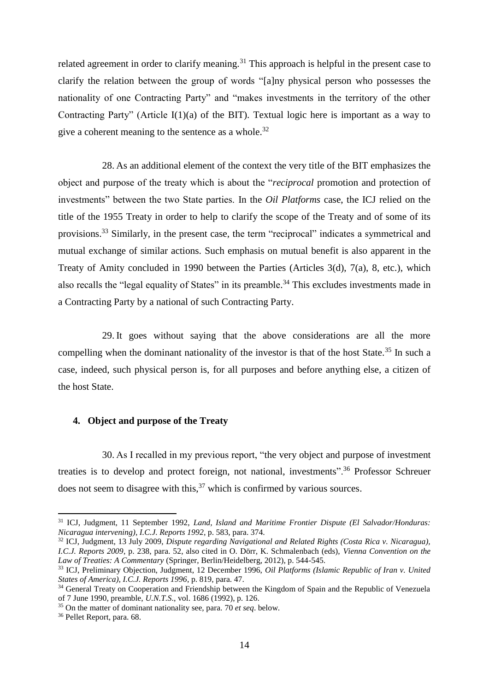related agreement in order to clarify meaning.<sup>31</sup> This approach is helpful in the present case to clarify the relation between the group of words "[a]ny physical person who possesses the nationality of one Contracting Party" and "makes investments in the territory of the other Contracting Party" (Article I(1)(a) of the BIT). Textual logic here is important as a way to give a coherent meaning to the sentence as a whole.<sup>32</sup>

28. As an additional element of the context the very title of the BIT emphasizes the object and purpose of the treaty which is about the "*reciprocal* promotion and protection of investments" between the two State parties. In the *Oil Platforms* case, the ICJ relied on the title of the 1955 Treaty in order to help to clarify the scope of the Treaty and of some of its provisions.<sup>33</sup> Similarly, in the present case, the term "reciprocal" indicates a symmetrical and mutual exchange of similar actions. Such emphasis on mutual benefit is also apparent in the Treaty of Amity concluded in 1990 between the Parties (Articles 3(d), 7(a), 8, etc.), which also recalls the "legal equality of States" in its preamble.<sup>34</sup> This excludes investments made in a Contracting Party by a national of such Contracting Party.

29. It goes without saying that the above considerations are all the more compelling when the dominant nationality of the investor is that of the host State.<sup>35</sup> In such a case, indeed, such physical person is, for all purposes and before anything else, a citizen of the host State.

## **4. Object and purpose of the Treaty**

30. As I recalled in my previous report, "the very object and purpose of investment treaties is to develop and protect foreign, not national, investments".<sup>36</sup> Professor Schreuer does not seem to disagree with this,  $37$  which is confirmed by various sources.

<sup>31</sup> ICJ, Judgment, 11 September 1992, *Land, Island and Maritime Frontier Dispute (El Salvador/Honduras: Nicaragua intervening)*, *I.C.J. Reports 1992*, p. 583, para. 374.

<sup>32</sup> ICJ, Judgment, 13 July 2009, *Dispute regarding Navigational and Related Rights (Costa Rica v. Nicaragua), I.C.J. Reports 2009*, p. 238, para. 52, also cited in O. Dörr, K. Schmalenbach (eds), *Vienna Convention on the Law of Treaties: A Commentary* (Springer, Berlin/Heidelberg, 2012), p. 544-545.

<sup>33</sup> ICJ, Preliminary Objection, Judgment, 12 December 1996, *Oil Platforms (Islamic Republic of Iran v. United States of America)*, *I.C.J. Reports 1996*, p. 819, para. 47.

<sup>&</sup>lt;sup>34</sup> General Treaty on Cooperation and Friendship between the Kingdom of Spain and the Republic of Venezuela of 7 June 1990, preamble, *U.N.T.S*., vol. 1686 (1992), p. 126.

<sup>35</sup> On the matter of dominant nationality see, para. [70](#page-32-0) *et seq*. below.

<sup>36</sup> Pellet Report, para. 68.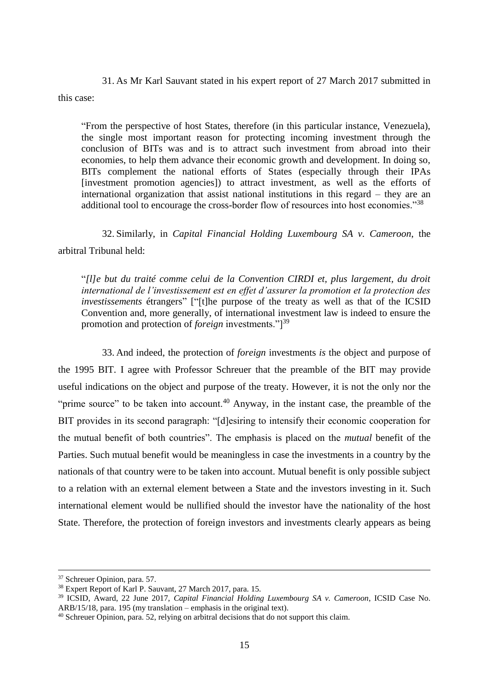31. As Mr Karl Sauvant stated in his expert report of 27 March 2017 submitted in this case:

"From the perspective of host States, therefore (in this particular instance, Venezuela), the single most important reason for protecting incoming investment through the conclusion of BITs was and is to attract such investment from abroad into their economies, to help them advance their economic growth and development. In doing so, BITs complement the national efforts of States (especially through their IPAs [investment promotion agencies]) to attract investment, as well as the efforts of international organization that assist national institutions in this regard – they are an additional tool to encourage the cross-border flow of resources into host economies."<sup>38</sup>

32. Similarly, in *Capital Financial Holding Luxembourg SA v. Cameroon*, the arbitral Tribunal held:

"*[l]e but du traité comme celui de la Convention CIRDI et, plus largement, du droit international de l'investissement est en effet d'assurer la promotion et la protection des investissements* étrangers" ["[t]he purpose of the treaty as well as that of the ICSID Convention and, more generally, of international investment law is indeed to ensure the promotion and protection of *foreign* investments."]<sup>39</sup>

33. And indeed, the protection of *foreign* investments *is* the object and purpose of the 1995 BIT. I agree with Professor Schreuer that the preamble of the BIT may provide useful indications on the object and purpose of the treaty. However, it is not the only nor the "prime source" to be taken into account.<sup>40</sup> Anyway, in the instant case, the preamble of the BIT provides in its second paragraph: "[d]esiring to intensify their economic cooperation for the mutual benefit of both countries". The emphasis is placed on the *mutual* benefit of the Parties. Such mutual benefit would be meaningless in case the investments in a country by the nationals of that country were to be taken into account. Mutual benefit is only possible subject to a relation with an external element between a State and the investors investing in it. Such international element would be nullified should the investor have the nationality of the host State. Therefore, the protection of foreign investors and investments clearly appears as being

<sup>37</sup> Schreuer Opinion, para. 57.

<sup>&</sup>lt;sup>38</sup> Expert Report of Karl P. Sauvant, 27 March 2017, para. 15.

<sup>39</sup> ICSID, Award, 22 June 2017, *Capital Financial Holding Luxembourg SA v. Cameroon*, ICSID Case No. ARB/15/18, para. 195 (my translation – emphasis in the original text).

<sup>&</sup>lt;sup>40</sup> Schreuer Opinion, para. 52, relying on arbitral decisions that do not support this claim.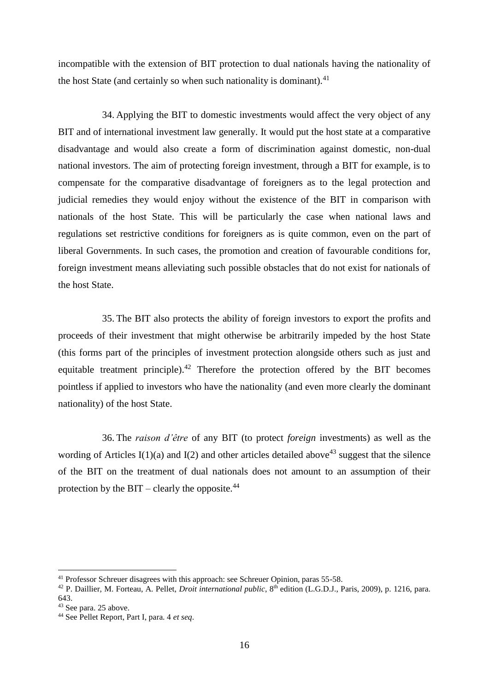incompatible with the extension of BIT protection to dual nationals having the nationality of the host State (and certainly so when such nationality is dominant). $41$ 

34. Applying the BIT to domestic investments would affect the very object of any BIT and of international investment law generally. It would put the host state at a comparative disadvantage and would also create a form of discrimination against domestic, non-dual national investors. The aim of protecting foreign investment, through a BIT for example, is to compensate for the comparative disadvantage of foreigners as to the legal protection and judicial remedies they would enjoy without the existence of the BIT in comparison with nationals of the host State. This will be particularly the case when national laws and regulations set restrictive conditions for foreigners as is quite common, even on the part of liberal Governments. In such cases, the promotion and creation of favourable conditions for, foreign investment means alleviating such possible obstacles that do not exist for nationals of the host State.

35. The BIT also protects the ability of foreign investors to export the profits and proceeds of their investment that might otherwise be arbitrarily impeded by the host State (this forms part of the principles of investment protection alongside others such as just and equitable treatment principle).<sup>42</sup> Therefore the protection offered by the BIT becomes pointless if applied to investors who have the nationality (and even more clearly the dominant nationality) of the host State.

36. The *raison d'être* of any BIT (to protect *foreign* investments) as well as the wording of Articles I(1)(a) and I(2) and other articles detailed above<sup>43</sup> suggest that the silence of the BIT on the treatment of dual nationals does not amount to an assumption of their protection by the BIT – clearly the opposite. $^{44}$ 

<sup>&</sup>lt;sup>41</sup> Professor Schreuer disagrees with this approach: see Schreuer Opinion, paras 55-58.

<sup>&</sup>lt;sup>42</sup> P. Daillier, M. Forteau, A. Pellet, *Droit international public*, 8<sup>th</sup> edition (L.G.D.J., Paris, 2009), p. 1216, para. 643.

<sup>43</sup> See para. [25](#page-10-0) above.

<sup>44</sup> See Pellet Report, Part I, para. 4 *et seq*.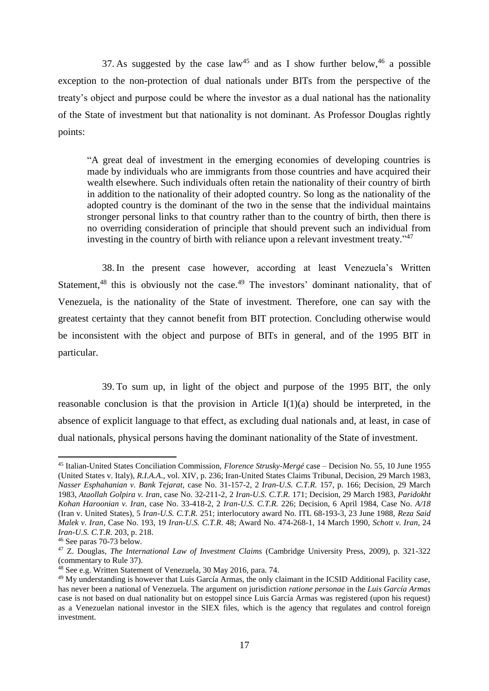37. As suggested by the case law<sup>45</sup> and as I show further below,<sup>46</sup> a possible exception to the non-protection of dual nationals under BITs from the perspective of the treaty's object and purpose could be where the investor as a dual national has the nationality of the State of investment but that nationality is not dominant. As Professor Douglas rightly points:

"A great deal of investment in the emerging economies of developing countries is made by individuals who are immigrants from those countries and have acquired their wealth elsewhere. Such individuals often retain the nationality of their country of birth in addition to the nationality of their adopted country. So long as the nationality of the adopted country is the dominant of the two in the sense that the individual maintains stronger personal links to that country rather than to the country of birth, then there is no overriding consideration of principle that should prevent such an individual from investing in the country of birth with reliance upon a relevant investment treaty."<sup>47</sup>

38. In the present case however, according at least Venezuela's Written Statement, $48$  this is obviously not the case. $49$  The investors' dominant nationality, that of Venezuela, is the nationality of the State of investment. Therefore, one can say with the greatest certainty that they cannot benefit from BIT protection. Concluding otherwise would be inconsistent with the object and purpose of BITs in general, and of the 1995 BIT in particular.

39. To sum up, in light of the object and purpose of the 1995 BIT, the only reasonable conclusion is that the provision in Article  $I(1)(a)$  should be interpreted, in the absence of explicit language to that effect, as excluding dual nationals and, at least, in case of dual nationals, physical persons having the dominant nationality of the State of investment.

<sup>1</sup> <sup>45</sup> Italian-United States Conciliation Commission, *Florence Strusky-Mergé* case – Decision No. 55, 10 June 1955 (United States v. Italy), *R.I.A.A*., vol. XIV, p. 236; Iran-United States Claims Tribunal, Decision, 29 March 1983, *Nasser Esphahanian v. Bank Tejarat,* case No. 31-157-2, 2 *Iran-U.S. C.T.R.* 157, p. 166; Decision, 29 March 1983, *Ataollah Golpira v. Iran*, case No. 32-211-2, 2 *Iran-U.S. C.T.R.* 171; Decision, 29 March 1983, *Paridokht Kohan Haroonian v. Iran*, case No. 33-418-2, 2 *Iran-U.S. C.T.R.* 226; Decision, 6 April 1984, Case No. *A/18* (Iran v. United States), 5 *Iran-U.S. C.T.R.* 251; interlocutory award No. ITL 68-193-3, 23 June 1988, *Reza Said Malek v. Iran*, Case No. 193, 19 *Iran-U.S. C.T.R*. 48; Award No. 474-268-1, 14 March 1990, *Schott v. Iran*, 24 *Iran-U.S. C.T.R*. 203, p. 218.

<sup>46</sup> See paras [70](#page-32-0)[-73](#page-33-0) below.

<sup>47</sup> Z. Douglas, *The International Law of Investment Claims* (Cambridge University Press, 2009), p. 321-322 (commentary to Rule 37).

<sup>48</sup> See e.g. Written Statement of Venezuela, 30 May 2016, para. 74.

<sup>&</sup>lt;sup>49</sup> My understanding is however that Luis García Armas, the only claimant in the ICSID Additional Facility case, has never been a national of Venezuela. The argument on jurisdiction *ratione personae* in the *Luis García Armas* case is not based on dual nationality but on estoppel since Luis García Armas was registered (upon his request) as a Venezuelan national investor in the SIEX files, which is the agency that regulates and control foreign investment.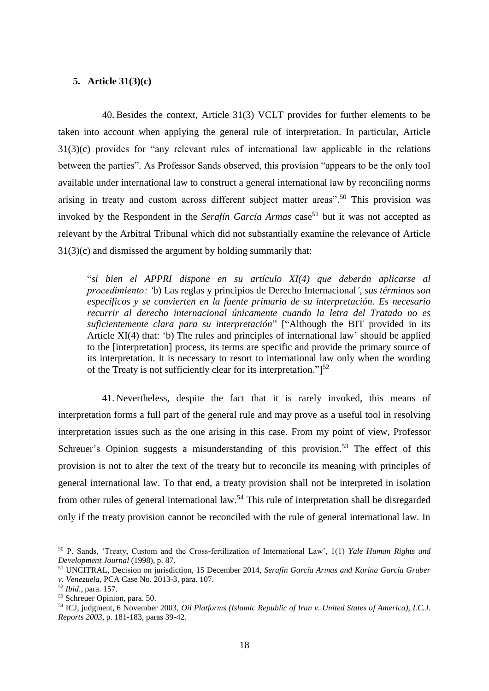#### **5. Article 31(3)(c)**

40. Besides the context, Article 31(3) VCLT provides for further elements to be taken into account when applying the general rule of interpretation. In particular, Article 31(3)(c) provides for "any relevant rules of international law applicable in the relations between the parties". As Professor Sands observed, this provision "appears to be the only tool available under international law to construct a general international law by reconciling norms arising in treaty and custom across different subject matter areas". <sup>50</sup> This provision was invoked by the Respondent in the *Serafín García Armas* case<sup>51</sup> but it was not accepted as relevant by the Arbitral Tribunal which did not substantially examine the relevance of Article 31(3)(c) and dismissed the argument by holding summarily that:

"*si bien el APPRI dispone en su artículo XI(4) que deberán aplicarse al procedimiento: '*b) Las reglas y principios de Derecho Internacional*', sus términos son específicos y se convierten en la fuente primaria de su interpretación. Es necesario recurrir al derecho internacional únicamente cuando la letra del Tratado no es suficientemente clara para su interpretación*" ["Although the BIT provided in its Article XI(4) that: 'b) The rules and principles of international law' should be applied to the [interpretation] process, its terms are specific and provide the primary source of its interpretation. It is necessary to resort to international law only when the wording of the Treaty is not sufficiently clear for its interpretation." $]^{52}$ 

41. Nevertheless, despite the fact that it is rarely invoked, this means of interpretation forms a full part of the general rule and may prove as a useful tool in resolving interpretation issues such as the one arising in this case. From my point of view, Professor Schreuer's Opinion suggests a misunderstanding of this provision.<sup>53</sup> The effect of this provision is not to alter the text of the treaty but to reconcile its meaning with principles of general international law. To that end, a treaty provision shall not be interpreted in isolation from other rules of general international law.<sup>54</sup> This rule of interpretation shall be disregarded only if the treaty provision cannot be reconciled with the rule of general international law. In

<sup>50</sup> P. Sands, 'Treaty, Custom and the Cross-fertilization of International Law', 1(1) *Yale Human Rights and Development Journal* (1998), p. 87.

<sup>51</sup> UNCITRAL, Decision on jurisdiction, 15 December 2014, *Serafín García Armas and Karina García Gruber v. Venezuela*, PCA Case No. 2013-3, para. 107.

<sup>52</sup> *Ibid*., para. 157.

<sup>53</sup> Schreuer Opinion, para. 50.

<sup>54</sup> ICJ, judgment, 6 November 2003, *Oil Platforms (Islamic Republic of Iran v. United States of America)*, *I.C.J. Reports 2003*, p. 181-183, paras 39-42.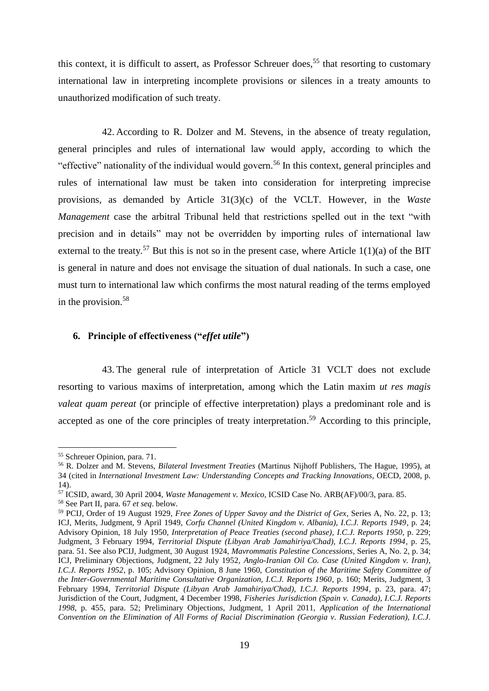this context, it is difficult to assert, as Professor Schreuer does,<sup>55</sup> that resorting to customary international law in interpreting incomplete provisions or silences in a treaty amounts to unauthorized modification of such treaty.

42. According to R. Dolzer and M. Stevens, in the absence of treaty regulation, general principles and rules of international law would apply, according to which the "effective" nationality of the individual would govern.<sup>56</sup> In this context, general principles and rules of international law must be taken into consideration for interpreting imprecise provisions, as demanded by Article 31(3)(c) of the VCLT. However, in the *Waste Management* case the arbitral Tribunal held that restrictions spelled out in the text "with precision and in details" may not be overridden by importing rules of international law external to the treaty.<sup>57</sup> But this is not so in the present case, where Article  $1(1)(a)$  of the BIT is general in nature and does not envisage the situation of dual nationals. In such a case, one must turn to international law which confirms the most natural reading of the terms employed in the provision.<sup>58</sup>

#### **6. Principle of effectiveness ("***effet utile***")**

<span id="page-18-0"></span>43. The general rule of interpretation of Article 31 VCLT does not exclude resorting to various maxims of interpretation, among which the Latin maxim *ut res magis valeat quam pereat* (or principle of effective interpretation) plays a predominant role and is accepted as one of the core principles of treaty interpretation.<sup>59</sup> According to this principle,

<sup>55</sup> Schreuer Opinion, para. 71.

<sup>56</sup> R. Dolzer and M. Stevens, *Bilateral Investment Treaties* (Martinus Nijhoff Publishers, The Hague, 1995), at 34 (cited in *International Investment Law: Understanding Concepts and Tracking Innovations*, OECD, 2008, p. 14).

<sup>57</sup> ICSID, award, 30 April 2004, *Waste Management v. Mexico*, ICSID Case No. ARB(AF)/00/3, para. 85. <sup>58</sup> See Part II, para. [67](#page-30-0) *et seq*. below.

<sup>59</sup> PCIJ, Order of 19 August 1929, *Free Zones of Upper Savoy and the District of Gex*, Series A, No. 22, p. 13; ICJ, Merits, Judgment, 9 April 1949, *Corfu Channel (United Kingdom v. Albania), I.C.J. Reports 1949*, p. 24; Advisory Opinion, 18 July 1950, *Interpretation of Peace Treaties (second phase)*, *I.C.J. Reports 1950*, p. 229; Judgment, 3 February 1994, *Territorial Dispute (Libyan Arab Jamahiriya/Chad), I.C.J. Reports 1994*, p. 25, para. 51. See also PCIJ, Judgment, 30 August 1924, *Mavrommatis Palestine Concessions*, Series A, No. 2, p. 34; ICJ, Preliminary Objections, Judgment, 22 July 1952, *Anglo-Iranian Oil Co. Case (United Kingdom v. Iran)*, *I.C.J. Reports 1952*, p. 105; Advisory Opinion, 8 June 1960, *Constitution of the Maritime Safety Committee of the Inter-Governmental Maritime Consultative Organization, I.C.J. Reports 1960*, p. 160; Merits, Judgment, 3 February 1994, *Territorial Dispute (Libyan Arab Jamahiriya/Chad), I.C.J. Reports 1994*, p. 23, para. 47; Jurisdiction of the Court, Judgment, 4 December 1998, *Fisheries Jurisdiction (Spain v. Canada), I.C.J. Reports 1998*, p. 455, para. 52; Preliminary Objections, Judgment, 1 April 2011, *Application of the International Convention on the Elimination of All Forms of Racial Discrimination (Georgia v. Russian Federation), I.C.J.*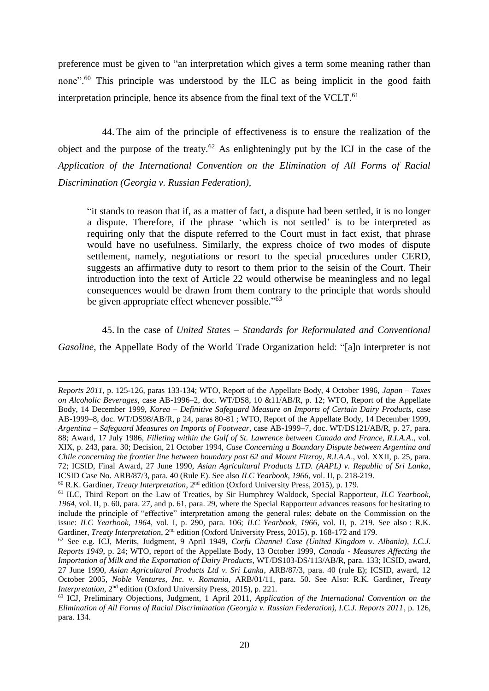preference must be given to "an interpretation which gives a term some meaning rather than none".<sup>60</sup> This principle was understood by the ILC as being implicit in the good faith interpretation principle, hence its absence from the final text of the VCLT.<sup>61</sup>

44. The aim of the principle of effectiveness is to ensure the realization of the object and the purpose of the treaty.<sup>62</sup> As enlighteningly put by the ICJ in the case of the *Application of the International Convention on the Elimination of All Forms of Racial Discrimination (Georgia v. Russian Federation)*,

"it stands to reason that if, as a matter of fact, a dispute had been settled, it is no longer a dispute. Therefore, if the phrase 'which is not settled' is to be interpreted as requiring only that the dispute referred to the Court must in fact exist, that phrase would have no usefulness. Similarly, the express choice of two modes of dispute settlement, namely, negotiations or resort to the special procedures under CERD, suggests an affirmative duty to resort to them prior to the seisin of the Court. Their introduction into the text of Article 22 would otherwise be meaningless and no legal consequences would be drawn from them contrary to the principle that words should be given appropriate effect whenever possible."<sup>63</sup>

45. In the case of *United States – Standards for Reformulated and Conventional* 

*Gasoline*, the Appellate Body of the World Trade Organization held: "[a]n interpreter is not

*Reports 2011*, p. 125-126, paras 133-134; WTO, Report of the Appellate Body, 4 October 1996, *Japan – Taxes on Alcoholic Beverages*, case AB-1996–2, doc. WT/DS8, 10 &11/AB/R, p. 12; WTO, Report of the Appellate Body, 14 December 1999, *Korea – Definitive Safeguard Measure on Imports of Certain Dairy Products*, case AB-1999–8, doc. WT/DS98/AB/R, p 24, paras 80-81 ; WTO, Report of the Appellate Body, 14 December 1999, *Argentina – Safeguard Measures on Imports of Footwear*, case AB-1999–7, doc. WT/DS121/AB/R, p. 27, para. 88; Award, 17 July 1986, *Filleting within the Gulf of St. Lawrence between Canada and France, R.I.A.A*., vol. XIX, p. 243, para. 30; Decision, 21 October 1994, *Case Concerning a Boundary Dispute between Argentina and Chile concerning the frontier line between boundary post 62 and Mount Fitzroy, R.I.A.A*., vol. XXII, p. 25, para. 72; ICSID, Final Award, 27 June 1990, *Asian Agricultural Products LTD. (AAPL) v. Republic of Sri Lanka*, ICSID Case No. ARB/87/3, para. 40 (Rule E). See also *ILC Yearbook, 1966*, vol. II, p. 218-219.

<sup>60</sup> R.K. Gardiner, *Treaty Interpretation*, 2nd edition (Oxford University Press, 2015), p. 179.

<sup>61</sup> ILC, Third Report on the Law of Treaties, by Sir Humphrey Waldock, Special Rapporteur, *ILC Yearbook, 1964*, vol. II, p. 60, para. 27, and p. 61, para. 29, where the Special Rapporteur advances reasons for hesitating to include the principle of "effective" interpretation among the general rules; debate on the Commission on the issue: *ILC Yearbook, 1964*, vol. I, p. 290, para. 106; *ILC Yearbook, 1966*, vol. II, p. 219. See also : R.K. Gardiner, *Treaty Interpretation*, 2<sup>nd</sup> edition (Oxford University Press, 2015), p. 168-172 and 179.

<sup>62</sup> See e.g. ICJ, Merits, Judgment, 9 April 1949, *Corfu Channel Case (United Kingdom v. Albania)*, *I.C.J. Reports 1949*, p. 24; WTO, report of the Appellate Body, 13 October 1999, *Canada - Measures Affecting the Importation of Milk and the Exportation of Dairy Products*, WT/DS103-DS/113/AB/R, para. 133; ICSID, award, 27 June 1990, *Asian Agricultural Products Ltd v. Sri Lanka*, ARB/87/3, para. 40 (rule E); ICSID, award, 12 October 2005, *Noble Ventures, Inc. v. Romania*, ARB/01/11, para. 50. See Also: R.K. Gardiner, *Treaty Interpretation*,  $2<sup>nd</sup>$  edition (Oxford University Press, 2015), p. 221.

<sup>63</sup> ICJ, Preliminary Objections, Judgment, 1 April 2011, *Application of the International Convention on the Elimination of All Forms of Racial Discrimination (Georgia v. Russian Federation), I.C.J. Reports 2011*, p. 126, para. 134.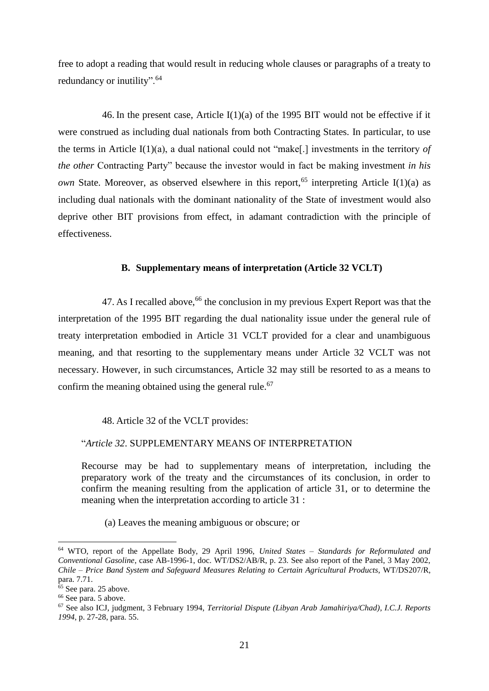free to adopt a reading that would result in reducing whole clauses or paragraphs of a treaty to redundancy or inutility".<sup>64</sup>

<span id="page-20-0"></span>46. In the present case, Article I(1)(a) of the 1995 BIT would not be effective if it were construed as including dual nationals from both Contracting States. In particular, to use the terms in Article I(1)(a), a dual national could not "make[.] investments in the territory *of the other* Contracting Party" because the investor would in fact be making investment *in his own* State. Moreover, as observed elsewhere in this report,<sup>65</sup> interpreting Article I(1)(a) as including dual nationals with the dominant nationality of the State of investment would also deprive other BIT provisions from effect, in adamant contradiction with the principle of effectiveness.

## **B. Supplementary means of interpretation (Article 32 VCLT)**

47. As I recalled above, <sup>66</sup> the conclusion in my previous Expert Report was that the interpretation of the 1995 BIT regarding the dual nationality issue under the general rule of treaty interpretation embodied in Article 31 VCLT provided for a clear and unambiguous meaning, and that resorting to the supplementary means under Article 32 VCLT was not necessary. However, in such circumstances, Article 32 may still be resorted to as a means to confirm the meaning obtained using the general rule.<sup>67</sup>

#### 48. Article 32 of the VCLT provides:

#### "*Article 32*. SUPPLEMENTARY MEANS OF INTERPRETATION

Recourse may be had to supplementary means of interpretation, including the preparatory work of the treaty and the circumstances of its conclusion, in order to confirm the meaning resulting from the application of article 31, or to determine the meaning when the interpretation according to article 31 :

(a) Leaves the meaning ambiguous or obscure; or

<sup>64</sup> WTO, report of the Appellate Body, 29 April 1996, *United States – Standards for Reformulated and Conventional Gasoline*, case AB-1996-1, doc. WT/DS2/AB/R, p. 23. See also report of the Panel, 3 May 2002, *Chile – Price Band System and Safeguard Measures Relating to Certain Agricultural Products*, WT/DS207/R, para. 7.71.

 $65$  See para. [25](#page-10-0) above.

<sup>&</sup>lt;sup>66</sup> See para. [5](#page-2-0) above.

<sup>67</sup> See also ICJ, judgment, 3 February 1994, *Territorial Dispute (Libyan Arab Jamahiriya/Chad)*, *I.C.J. Reports 1994*, p. 27-28, para. 55.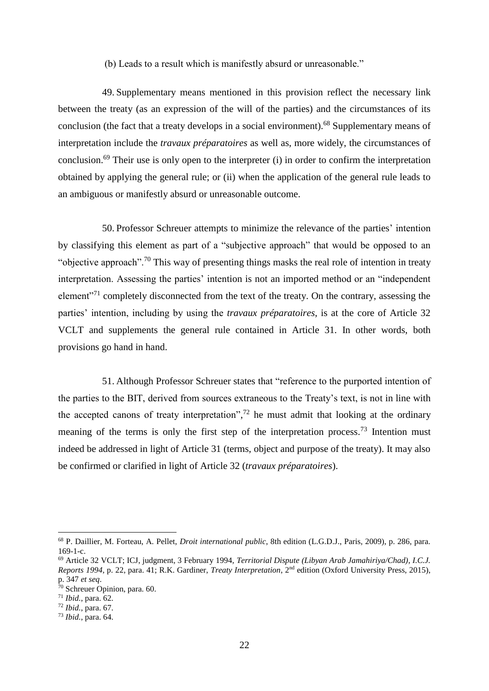(b) Leads to a result which is manifestly absurd or unreasonable."

49. Supplementary means mentioned in this provision reflect the necessary link between the treaty (as an expression of the will of the parties) and the circumstances of its conclusion (the fact that a treaty develops in a social environment). <sup>68</sup> Supplementary means of interpretation include the *travaux préparatoires* as well as, more widely, the circumstances of conclusion.<sup>69</sup> Their use is only open to the interpreter (i) in order to confirm the interpretation obtained by applying the general rule; or (ii) when the application of the general rule leads to an ambiguous or manifestly absurd or unreasonable outcome.

50. Professor Schreuer attempts to minimize the relevance of the parties' intention by classifying this element as part of a "subjective approach" that would be opposed to an "objective approach".<sup>70</sup> This way of presenting things masks the real role of intention in treaty interpretation. Assessing the parties' intention is not an imported method or an "independent element<sup>"71</sup> completely disconnected from the text of the treaty. On the contrary, assessing the parties' intention, including by using the *travaux préparatoires*, is at the core of Article 32 VCLT and supplements the general rule contained in Article 31. In other words, both provisions go hand in hand.

51. Although Professor Schreuer states that "reference to the purported intention of the parties to the BIT, derived from sources extraneous to the Treaty's text, is not in line with the accepted canons of treaty interpretation",<sup>72</sup> he must admit that looking at the ordinary meaning of the terms is only the first step of the interpretation process.<sup>73</sup> Intention must indeed be addressed in light of Article 31 (terms, object and purpose of the treaty). It may also be confirmed or clarified in light of Article 32 (*travaux préparatoires*).

<sup>68</sup> P. Daillier, M. Forteau, A. Pellet, *Droit international public*, 8th edition (L.G.D.J., Paris, 2009), p. 286, para. 169-1-c.

<sup>69</sup> Article 32 VCLT; ICJ, judgment, 3 February 1994, *Territorial Dispute (Libyan Arab Jamahiriya/Chad)*, *I.C.J. Reports 1994*, p. 22, para. 41; R.K. Gardiner, *Treaty Interpretation*, 2nd edition (Oxford University Press, 2015), p. 347 *et seq*.

<sup>70</sup> Schreuer Opinion, para. 60.

<sup>71</sup> *Ibid.*, para. 62.

<sup>72</sup> *Ibid.*, para. 67.

<sup>73</sup> *Ibid.*, para. 64.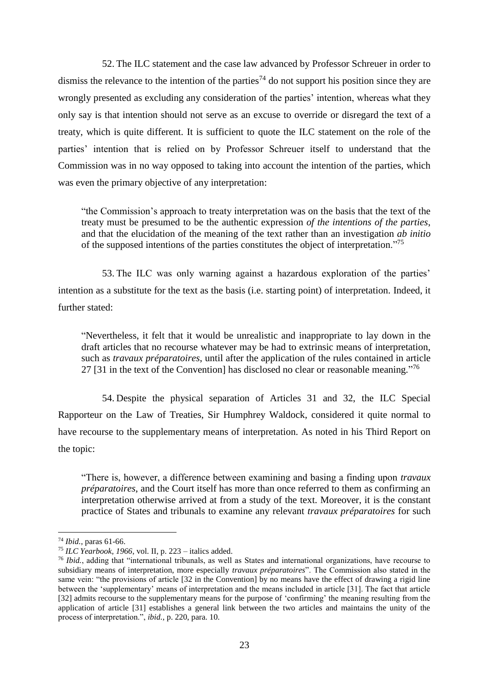52. The ILC statement and the case law advanced by Professor Schreuer in order to dismiss the relevance to the intention of the parties<sup>74</sup> do not support his position since they are wrongly presented as excluding any consideration of the parties' intention, whereas what they only say is that intention should not serve as an excuse to override or disregard the text of a treaty, which is quite different. It is sufficient to quote the ILC statement on the role of the parties' intention that is relied on by Professor Schreuer itself to understand that the Commission was in no way opposed to taking into account the intention of the parties, which was even the primary objective of any interpretation:

"the Commission's approach to treaty interpretation was on the basis that the text of the treaty must be presumed to be the authentic expression *of the intentions of the parties*, and that the elucidation of the meaning of the text rather than an investigation *ab initio* of the supposed intentions of the parties constitutes the object of interpretation."<sup>75</sup>

53. The ILC was only warning against a hazardous exploration of the parties' intention as a substitute for the text as the basis (i.e. starting point) of interpretation. Indeed, it further stated:

"Nevertheless, it felt that it would be unrealistic and inappropriate to lay down in the draft articles that no recourse whatever may be had to extrinsic means of interpretation, such as *travaux préparatoires*, until after the application of the rules contained in article 27 [31 in the text of the Convention] has disclosed no clear or reasonable meaning."<sup>76</sup>

54. Despite the physical separation of Articles 31 and 32, the ILC Special Rapporteur on the Law of Treaties, Sir Humphrey Waldock, considered it quite normal to have recourse to the supplementary means of interpretation. As noted in his Third Report on the topic:

"There is, however, a difference between examining and basing a finding upon *travaux préparatoires*, and the Court itself has more than once referred to them as confirming an interpretation otherwise arrived at from a study of the text. Moreover, it is the constant practice of States and tribunals to examine any relevant *travaux préparatoires* for such

<sup>74</sup> *Ibid.*, paras 61-66.

<sup>75</sup> *ILC Yearbook, 1966*, vol. II, p. 223 – italics added.

<sup>76</sup> *Ibid.*, adding that "international tribunals, as well as States and international organizations, have recourse to subsidiary means of interpretation, more especially *travaux préparatoires*". The Commission also stated in the same vein: "the provisions of article [32 in the Convention] by no means have the effect of drawing a rigid line between the 'supplementary' means of interpretation and the means included in article [31]. The fact that article [32] admits recourse to the supplementary means for the purpose of 'confirming' the meaning resulting from the application of article [31] establishes a general link between the two articles and maintains the unity of the process of interpretation.", *ibid.*, p. 220, para. 10.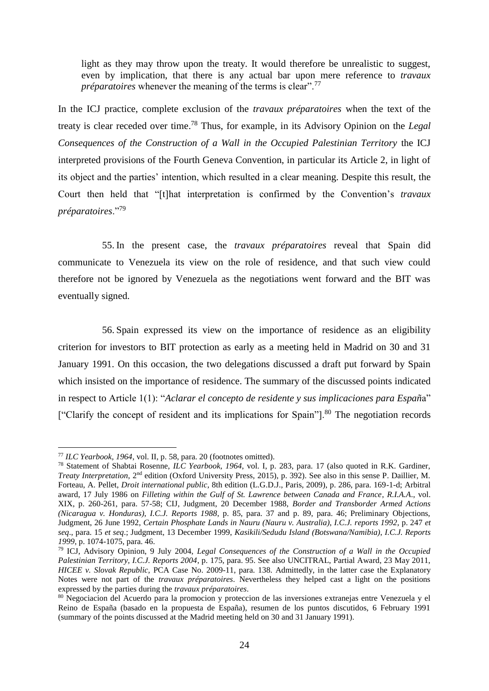light as they may throw upon the treaty. It would therefore be unrealistic to suggest, even by implication, that there is any actual bar upon mere reference to *travaux préparatoires* whenever the meaning of the terms is clear".<sup>77</sup>

In the ICJ practice, complete exclusion of the *travaux préparatoires* when the text of the treaty is clear receded over time. <sup>78</sup> Thus, for example, in its Advisory Opinion on the *Legal Consequences of the Construction of a Wall in the Occupied Palestinian Territory* the ICJ interpreted provisions of the Fourth Geneva Convention, in particular its Article 2, in light of its object and the parties' intention, which resulted in a clear meaning. Despite this result, the Court then held that "[t]hat interpretation is confirmed by the Convention's *travaux préparatoires*."<sup>79</sup>

55. In the present case, the *travaux préparatoires* reveal that Spain did communicate to Venezuela its view on the role of residence, and that such view could therefore not be ignored by Venezuela as the negotiations went forward and the BIT was eventually signed.

56. Spain expressed its view on the importance of residence as an eligibility criterion for investors to BIT protection as early as a meeting held in Madrid on 30 and 31 January 1991. On this occasion, the two delegations discussed a draft put forward by Spain which insisted on the importance of residence. The summary of the discussed points indicated in respect to Article 1(1): "*Aclarar el concepto de residente y sus implicaciones para Españ*a" ["Clarify the concept of resident and its implications for Spain"].<sup>80</sup> The negotiation records

<sup>77</sup> *ILC Yearbook, 1964*, vol. II, p. 58, para. 20 (footnotes omitted).

<sup>78</sup> Statement of Shabtai Rosenne, *ILC Yearbook, 1964*, vol. I, p. 283, para. 17 (also quoted in R.K. Gardiner, *Treaty Interpretation*, 2nd edition (Oxford University Press, 2015), p. 392). See also in this sense P. Daillier, M. Forteau, A. Pellet, *Droit international public*, 8th edition (L.G.D.J., Paris, 2009), p. 286, para. 169-1-d; Arbitral award, 17 July 1986 on *Filleting within the Gulf of St. Lawrence between Canada and France*, *R.I.A.A*., vol. XIX, p. 260-261, para. 57-58; CIJ, Judgment, 20 December 1988, *Border and Transborder Armed Actions (Nicaragua v. Honduras)*, *I.C.J. Reports 1988*, p. 85, para. 37 and p. 89, para. 46; Preliminary Objections, Judgment, 26 June 1992, *Certain Phosphate Lands in Nauru (Nauru v. Australia)*, *I.C.J. reports 1992*, p. 247 *et seq*., para. 15 *et seq*.; Judgment, 13 December 1999, *Kasikili/Sedudu Island (Botswana/Namibia)*, *I.C.J. Reports 1999*, p. 1074-1075, para. 46.

<sup>79</sup> ICJ, Advisory Opinion, 9 July 2004, *Legal Consequences of the Construction of a Wall in the Occupied Palestinian Territory, I.C.J. Reports 2004*, p. 175, para. 95. See also UNCITRAL, Partial Award, 23 May 2011, *HICEE v. Slovak Republic,* PCA Case No. 2009-11, para. 138. Admittedly, in the latter case the Explanatory Notes were not part of the *travaux préparatoires*. Nevertheless they helped cast a light on the positions expressed by the parties during the *travaux préparatoires*.

<sup>&</sup>lt;sup>80</sup> Negociacion del Acuerdo para la promocion y proteccion de las inversiones extranejas entre Venezuela y el Reino de España (basado en la propuesta de España), resumen de los puntos discutidos, 6 February 1991 (summary of the points discussed at the Madrid meeting held on 30 and 31 January 1991).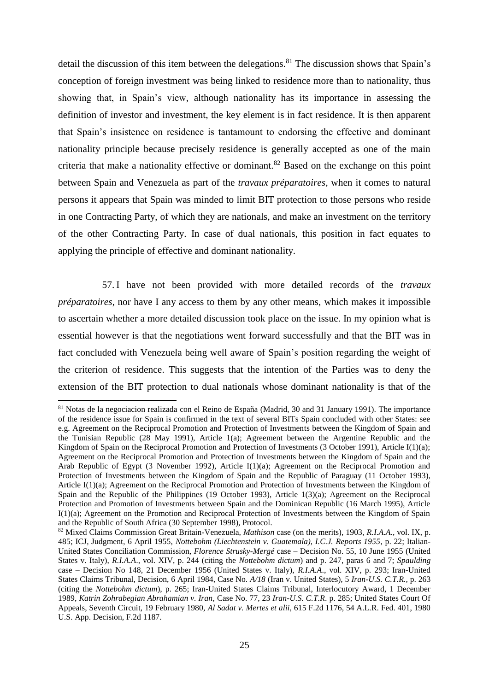detail the discussion of this item between the delegations.<sup>81</sup> The discussion shows that Spain's conception of foreign investment was being linked to residence more than to nationality, thus showing that, in Spain's view, although nationality has its importance in assessing the definition of investor and investment, the key element is in fact residence. It is then apparent that Spain's insistence on residence is tantamount to endorsing the effective and dominant nationality principle because precisely residence is generally accepted as one of the main criteria that make a nationality effective or dominant.<sup>82</sup> Based on the exchange on this point between Spain and Venezuela as part of the *travaux préparatoires*, when it comes to natural persons it appears that Spain was minded to limit BIT protection to those persons who reside in one Contracting Party, of which they are nationals, and make an investment on the territory of the other Contracting Party. In case of dual nationals, this position in fact equates to applying the principle of effective and dominant nationality.

57. I have not been provided with more detailed records of the *travaux préparatoires*, nor have I any access to them by any other means, which makes it impossible to ascertain whether a more detailed discussion took place on the issue. In my opinion what is essential however is that the negotiations went forward successfully and that the BIT was in fact concluded with Venezuela being well aware of Spain's position regarding the weight of the criterion of residence. This suggests that the intention of the Parties was to deny the extension of the BIT protection to dual nationals whose dominant nationality is that of the

<sup>81</sup> Notas de la negociacion realizada con el Reino de España (Madrid, 30 and 31 January 1991). The importance of the residence issue for Spain is confirmed in the text of several BITs Spain concluded with other States: see e.g. Agreement on the Reciprocal Promotion and Protection of Investments between the Kingdom of Spain and the Tunisian Republic (28 May 1991), Article 1(a); Agreement between the Argentine Republic and the Kingdom of Spain on the Reciprocal Promotion and Protection of Investments (3 October 1991), Article I(1)(a); Agreement on the Reciprocal Promotion and Protection of Investments between the Kingdom of Spain and the Arab Republic of Egypt (3 November 1992), Article I(1)(a); Agreement on the Reciprocal Promotion and Protection of Investments between the Kingdom of Spain and the Republic of Paraguay (11 October 1993), Article I(1)(a); Agreement on the Reciprocal Promotion and Protection of Investments between the Kingdom of Spain and the Republic of the Philippines (19 October 1993), Article 1(3)(a); Agreement on the Reciprocal Protection and Promotion of Investments between Spain and the Dominican Republic (16 March 1995), Article I(1)(a); Agreement on the Promotion and Reciprocal Protection of Investments between the Kingdom of Spain and the Republic of South Africa (30 September 1998), Protocol.

<sup>82</sup> Mixed Claims Commission Great Britain-Venezuela, *Mathison* case (on the merits), 1903, *R.I.A.A*., vol. IX, p. 485; ICJ, Judgment, 6 April 1955, *Nottebohm (Liechtenstein v. Guatemala), I.C.J. Reports 1955*, p. 22; Italian-United States Conciliation Commission, *Florence Strusky-Mergé* case – Decision No. 55, 10 June 1955 (United States v. Italy), *R.I.A.A*., vol. XIV, p. 244 (citing the *Nottebohm dictum*) and p. 247, paras 6 and 7; *Spaulding* case – Decision No 148, 21 December 1956 (United States v. Italy), *R.I.A.A*., vol. XIV, p. 293; Iran-United States Claims Tribunal, Decision, 6 April 1984, Case No. *A/18* (Iran v. United States), 5 *Iran-U.S. C.T.R.,* p. 263 (citing the *Nottebohm dictum*), p. 265; Iran-United States Claims Tribunal, Interlocutory Award, 1 December 1989, *Katrin Zohrabegian Abrahamian v. Iran*, Case No. 77, 23 *Iran-U.S. C.T.R*. p. 285; United States Court Of Appeals, Seventh Circuit, 19 February 1980, *Al Sadat v. Mertes et alii*, 615 F.2d 1176, 54 A.L.R. Fed. 401, 1980 U.S. App. Decision, F.2d 1187.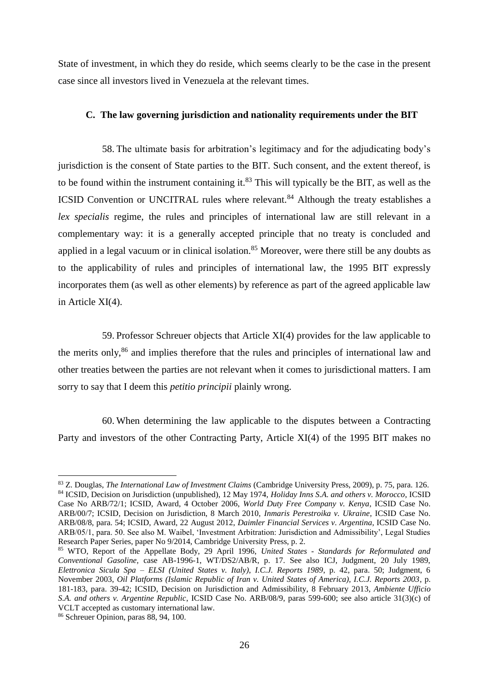State of investment, in which they do reside, which seems clearly to be the case in the present case since all investors lived in Venezuela at the relevant times.

#### **C. The law governing jurisdiction and nationality requirements under the BIT**

<span id="page-25-0"></span>58. The ultimate basis for arbitration's legitimacy and for the adjudicating body's jurisdiction is the consent of State parties to the BIT. Such consent, and the extent thereof, is to be found within the instrument containing it.<sup>83</sup> This will typically be the BIT, as well as the ICSID Convention or UNCITRAL rules where relevant.<sup>84</sup> Although the treaty establishes a *lex specialis* regime, the rules and principles of international law are still relevant in a complementary way: it is a generally accepted principle that no treaty is concluded and applied in a legal vacuum or in clinical isolation.<sup>85</sup> Moreover, were there still be any doubts as to the applicability of rules and principles of international law, the 1995 BIT expressly incorporates them (as well as other elements) by reference as part of the agreed applicable law in Article XI(4).

<span id="page-25-1"></span>59. Professor Schreuer objects that Article XI(4) provides for the law applicable to the merits only,<sup>86</sup> and implies therefore that the rules and principles of international law and other treaties between the parties are not relevant when it comes to jurisdictional matters. I am sorry to say that I deem this *petitio principii* plainly wrong.

60. When determining the law applicable to the disputes between a Contracting Party and investors of the other Contracting Party, Article XI(4) of the 1995 BIT makes no

<sup>83</sup> Z. Douglas, *The International Law of Investment Claims* (Cambridge University Press, 2009), p. 75, para. 126. <sup>84</sup> ICSID, Decision on Jurisdiction (unpublished), 12 May 1974, *Holiday Inns S.A. and others v. Morocco*, ICSID Case No ARB/72/1; ICSID, Award, 4 October 2006, *World Duty Free Company v. Kenya*, ICSID Case No. ARB/00/7; ICSID, Decision on Jurisdiction, 8 March 2010, *Inmaris Perestroika v. Ukraine*, ICSID Case No. ARB/08/8, para. 54; ICSID, Award, 22 August 2012, *Daimler Financial Services v. Argentina*, ICSID Case No. ARB/05/1, para. 50. See also M. Waibel, 'Investment Arbitration: Jurisdiction and Admissibility', Legal Studies Research Paper Series, paper No 9/2014, Cambridge University Press, p. 2.

<sup>85</sup> WTO, Report of the Appellate Body, 29 April 1996, *United States - Standards for Reformulated and Conventional Gasoline,* case AB-1996-1, WT/DS2/AB/R, p. 17. See also ICJ, Judgment, 20 July 1989, *Elettronica Sicula Spa – ELSI (United States v. Italy)*, *I.C.J. Reports 1989*, p. 42, para. 50; Judgment, 6 November 2003, *Oil Platforms (Islamic Republic of Iran v. United States of America), I.C.J. Reports 2003*, p. 181-183, para. 39-42; ICSID, Decision on Jurisdiction and Admissibility, 8 February 2013, *Ambiente Ufficio S.A. and others v. Argentine Republic*, ICSID Case No. ARB/08/9, paras 599-600; see also article 31(3)(c) of VCLT accepted as customary international law.

<sup>86</sup> Schreuer Opinion, paras 88, 94, 100.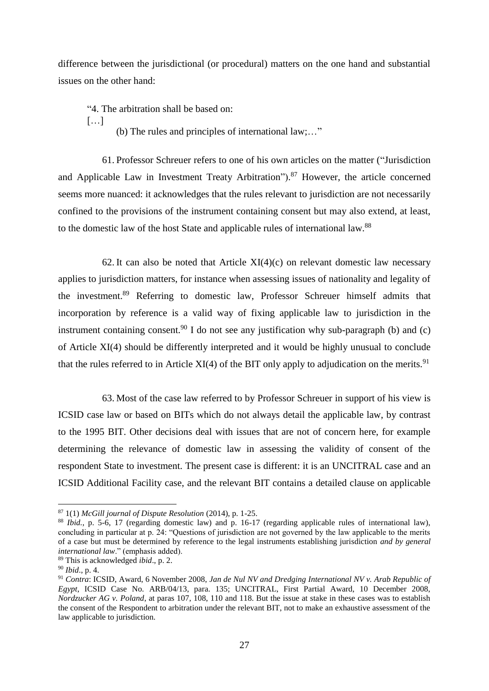difference between the jurisdictional (or procedural) matters on the one hand and substantial issues on the other hand:

"4. The arbitration shall be based on:

[…]

(b) The rules and principles of international law;…"

61. Professor Schreuer refers to one of his own articles on the matter ("Jurisdiction and Applicable Law in Investment Treaty Arbitration").<sup>87</sup> However, the article concerned seems more nuanced: it acknowledges that the rules relevant to jurisdiction are not necessarily confined to the provisions of the instrument containing consent but may also extend, at least, to the domestic law of the host State and applicable rules of international law.<sup>88</sup>

62. It can also be noted that Article  $XI(4)(c)$  on relevant domestic law necessary applies to jurisdiction matters, for instance when assessing issues of nationality and legality of the investment.<sup>89</sup> Referring to domestic law, Professor Schreuer himself admits that incorporation by reference is a valid way of fixing applicable law to jurisdiction in the instrument containing consent.<sup>90</sup> I do not see any justification why sub-paragraph (b) and (c) of Article XI(4) should be differently interpreted and it would be highly unusual to conclude that the rules referred to in Article XI(4) of the BIT only apply to adjudication on the merits.<sup>91</sup>

63. Most of the case law referred to by Professor Schreuer in support of his view is ICSID case law or based on BITs which do not always detail the applicable law, by contrast to the 1995 BIT. Other decisions deal with issues that are not of concern here, for example determining the relevance of domestic law in assessing the validity of consent of the respondent State to investment. The present case is different: it is an UNCITRAL case and an ICSID Additional Facility case, and the relevant BIT contains a detailed clause on applicable

<sup>87</sup> 1(1) *McGill journal of Dispute Resolution* (2014), p. 1-25.

<sup>88</sup> *Ibid.*, p. 5-6, 17 (regarding domestic law) and p. 16-17 (regarding applicable rules of international law), concluding in particular at p. 24: "Questions of jurisdiction are not governed by the law applicable to the merits of a case but must be determined by reference to the legal instruments establishing jurisdiction *and by general international law*." (emphasis added).

<sup>89</sup> This is acknowledged *ibid*., p. 2.

<sup>90</sup> *Ibid*., p. 4.

<sup>91</sup> *Contra*: ICSID, Award, 6 November 2008, *Jan de Nul NV and Dredging International NV v. Arab Republic of Egypt*, ICSID Case No. ARB/04/13, para. 135; UNCITRAL, First Partial Award, 10 December 2008, *Nordzucker AG v. Poland*, at paras 107, 108, 110 and 118. But the issue at stake in these cases was to establish the consent of the Respondent to arbitration under the relevant BIT, not to make an exhaustive assessment of the law applicable to jurisdiction.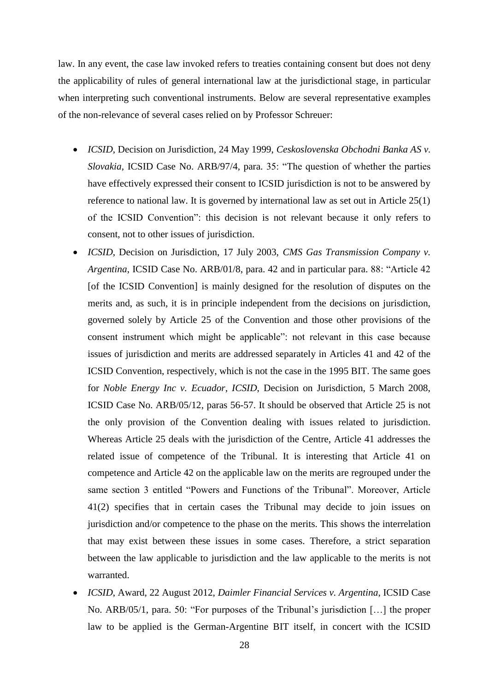law. In any event, the case law invoked refers to treaties containing consent but does not deny the applicability of rules of general international law at the jurisdictional stage, in particular when interpreting such conventional instruments. Below are several representative examples of the non-relevance of several cases relied on by Professor Schreuer:

- *ICSID*, Decision on Jurisdiction, 24 May 1999, *Ceskoslovenska Obchodni Banka AS v. Slovakia*, ICSID Case No. ARB/97/4, para. 35: "The question of whether the parties have effectively expressed their consent to ICSID jurisdiction is not to be answered by reference to national law. It is governed by international law as set out in Article 25(1) of the ICSID Convention": this decision is not relevant because it only refers to consent, not to other issues of jurisdiction.
- *ICSID*, Decision on Jurisdiction, 17 July 2003, *CMS Gas Transmission Company v. Argentina*, ICSID Case No. ARB/01/8, para. 42 and in particular para. 88: "Article 42 [of the ICSID Convention] is mainly designed for the resolution of disputes on the merits and, as such, it is in principle independent from the decisions on jurisdiction, governed solely by Article 25 of the Convention and those other provisions of the consent instrument which might be applicable": not relevant in this case because issues of jurisdiction and merits are addressed separately in Articles 41 and 42 of the ICSID Convention, respectively, which is not the case in the 1995 BIT. The same goes for *Noble Energy Inc v. Ecuador*, *ICSID*, Decision on Jurisdiction, 5 March 2008, ICSID Case No. ARB/05/12, paras 56-57. It should be observed that Article 25 is not the only provision of the Convention dealing with issues related to jurisdiction. Whereas Article 25 deals with the jurisdiction of the Centre, Article 41 addresses the related issue of competence of the Tribunal. It is interesting that Article 41 on competence and Article 42 on the applicable law on the merits are regrouped under the same section 3 entitled "Powers and Functions of the Tribunal". Moreover, Article 41(2) specifies that in certain cases the Tribunal may decide to join issues on jurisdiction and/or competence to the phase on the merits. This shows the interrelation that may exist between these issues in some cases. Therefore, a strict separation between the law applicable to jurisdiction and the law applicable to the merits is not warranted.
- *ICSID*, Award, 22 August 2012, *Daimler Financial Services v. Argentina*, ICSID Case No. ARB/05/1, para. 50: "For purposes of the Tribunal's jurisdiction […] the proper law to be applied is the German-Argentine BIT itself, in concert with the ICSID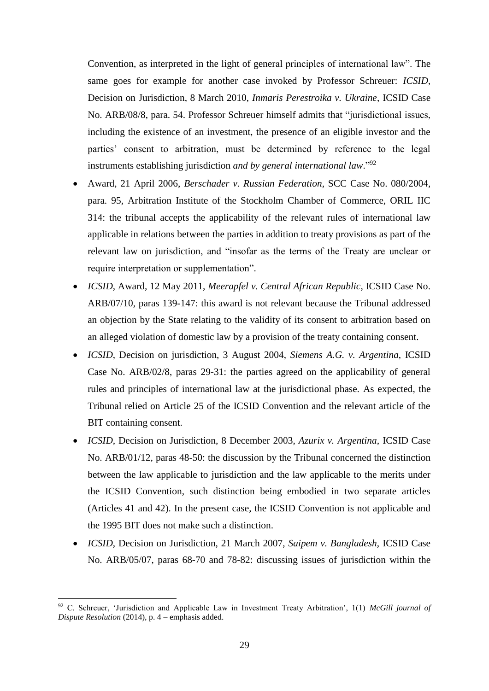Convention, as interpreted in the light of general principles of international law". The same goes for example for another case invoked by Professor Schreuer: *ICSID*, Decision on Jurisdiction, 8 March 2010, *Inmaris Perestroika v. Ukraine*, ICSID Case No. ARB/08/8, para. 54. Professor Schreuer himself admits that "jurisdictional issues, including the existence of an investment, the presence of an eligible investor and the parties' consent to arbitration, must be determined by reference to the legal instruments establishing jurisdiction *and by general international law*." 92

- Award, 21 April 2006, *Berschader v. Russian Federation*, SCC Case No. 080/2004, para. 95, Arbitration Institute of the Stockholm Chamber of Commerce, ORIL IIC 314: the tribunal accepts the applicability of the relevant rules of international law applicable in relations between the parties in addition to treaty provisions as part of the relevant law on jurisdiction, and "insofar as the terms of the Treaty are unclear or require interpretation or supplementation".
- *ICSID*, Award, 12 May 2011, *Meerapfel v. Central African Republic*, ICSID Case No. ARB/07/10, paras 139-147: this award is not relevant because the Tribunal addressed an objection by the State relating to the validity of its consent to arbitration based on an alleged violation of domestic law by a provision of the treaty containing consent.
- *ICSID*, Decision on jurisdiction, 3 August 2004, *Siemens A.G. v. Argentina*, ICSID Case No. ARB/02/8, paras 29-31: the parties agreed on the applicability of general rules and principles of international law at the jurisdictional phase. As expected, the Tribunal relied on Article 25 of the ICSID Convention and the relevant article of the BIT containing consent.
- *ICSID*, Decision on Jurisdiction, 8 December 2003, *Azurix v. Argentina*, ICSID Case No. ARB/01/12, paras 48-50: the discussion by the Tribunal concerned the distinction between the law applicable to jurisdiction and the law applicable to the merits under the ICSID Convention, such distinction being embodied in two separate articles (Articles 41 and 42). In the present case, the ICSID Convention is not applicable and the 1995 BIT does not make such a distinction.
- *ICSID*, Decision on Jurisdiction, 21 March 2007, *Saipem v. Bangladesh*, ICSID Case No. ARB/05/07, paras 68-70 and 78-82: discussing issues of jurisdiction within the

<sup>92</sup> C. Schreuer, 'Jurisdiction and Applicable Law in Investment Treaty Arbitration', 1(1) *McGill journal of Dispute Resolution* (2014), p. 4 – emphasis added.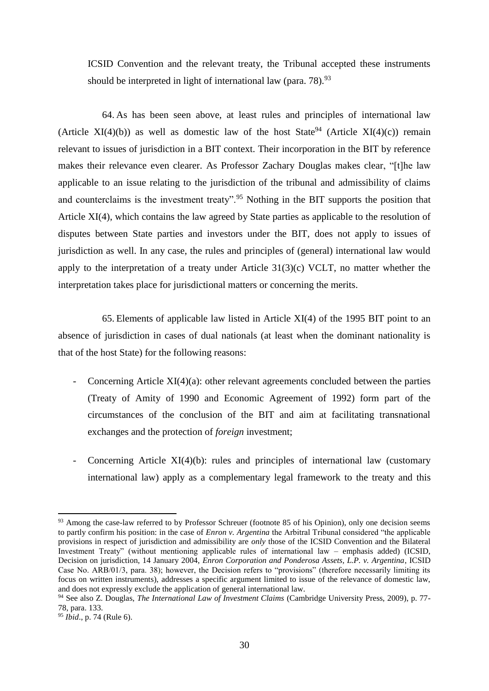ICSID Convention and the relevant treaty, the Tribunal accepted these instruments should be interpreted in light of international law (para.  $78$ ).<sup>93</sup>

64. As has been seen above, at least rules and principles of international law (Article XI(4)(b)) as well as domestic law of the host State<sup>94</sup> (Article XI(4)(c)) remain relevant to issues of jurisdiction in a BIT context. Their incorporation in the BIT by reference makes their relevance even clearer. As Professor Zachary Douglas makes clear, "[t]he law applicable to an issue relating to the jurisdiction of the tribunal and admissibility of claims and counterclaims is the investment treaty".<sup>95</sup> Nothing in the BIT supports the position that Article XI(4), which contains the law agreed by State parties as applicable to the resolution of disputes between State parties and investors under the BIT, does not apply to issues of jurisdiction as well. In any case, the rules and principles of (general) international law would apply to the interpretation of a treaty under Article 31(3)(c) VCLT, no matter whether the interpretation takes place for jurisdictional matters or concerning the merits.

65. Elements of applicable law listed in Article XI(4) of the 1995 BIT point to an absence of jurisdiction in cases of dual nationals (at least when the dominant nationality is that of the host State) for the following reasons:

- Concerning Article XI(4)(a): other relevant agreements concluded between the parties (Treaty of Amity of 1990 and Economic Agreement of 1992) form part of the circumstances of the conclusion of the BIT and aim at facilitating transnational exchanges and the protection of *foreign* investment;
- Concerning Article XI(4)(b): rules and principles of international law (customary international law) apply as a complementary legal framework to the treaty and this

<sup>&</sup>lt;sup>93</sup> Among the case-law referred to by Professor Schreuer (footnote 85 of his Opinion), only one decision seems to partly confirm his position: in the case of *Enron v. Argentina* the Arbitral Tribunal considered "the applicable provisions in respect of jurisdiction and admissibility are *only* those of the ICSID Convention and the Bilateral Investment Treaty" (without mentioning applicable rules of international law – emphasis added) (ICSID, Decision on jurisdiction, 14 January 2004, *Enron Corporation and Ponderosa Assets, L.P. v. Argentina*, ICSID Case No. ARB/01/3, para. 38); however, the Decision refers to "provisions" (therefore necessarily limiting its focus on written instruments), addresses a specific argument limited to issue of the relevance of domestic law, and does not expressly exclude the application of general international law.

<sup>94</sup> See also Z. Douglas, *The International Law of Investment Claims* (Cambridge University Press, 2009), p. 77- 78, para. 133.

<sup>95</sup> *Ibid*., p. 74 (Rule 6).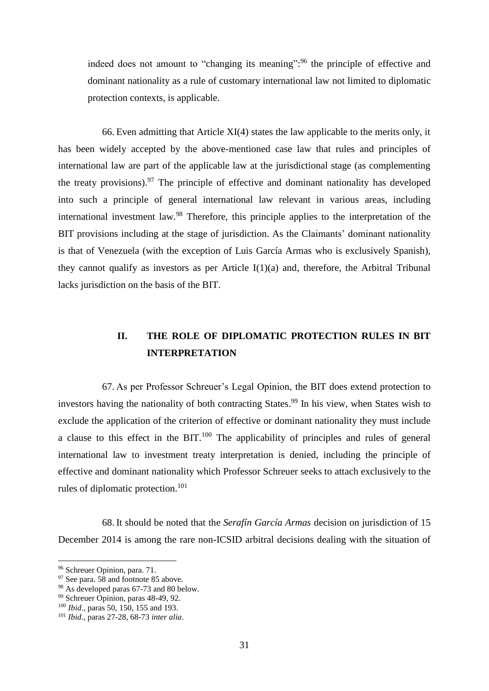indeed does not amount to "changing its meaning":<sup>96</sup> the principle of effective and dominant nationality as a rule of customary international law not limited to diplomatic protection contexts, is applicable.

66. Even admitting that Article XI(4) states the law applicable to the merits only, it has been widely accepted by the above-mentioned case law that rules and principles of international law are part of the applicable law at the jurisdictional stage (as complementing the treaty provisions). <sup>97</sup> The principle of effective and dominant nationality has developed into such a principle of general international law relevant in various areas, including international investment law.<sup>98</sup> Therefore, this principle applies to the interpretation of the BIT provisions including at the stage of jurisdiction. As the Claimants' dominant nationality is that of Venezuela (with the exception of Luis García Armas who is exclusively Spanish), they cannot qualify as investors as per Article  $I(1)(a)$  and, therefore, the Arbitral Tribunal lacks jurisdiction on the basis of the BIT.

# **II. THE ROLE OF DIPLOMATIC PROTECTION RULES IN BIT INTERPRETATION**

<span id="page-30-0"></span>67. As per Professor Schreuer's Legal Opinion, the BIT does extend protection to investors having the nationality of both contracting States. <sup>99</sup> In his view, when States wish to exclude the application of the criterion of effective or dominant nationality they must include a clause to this effect in the BIT.<sup>100</sup> The applicability of principles and rules of general international law to investment treaty interpretation is denied, including the principle of effective and dominant nationality which Professor Schreuer seeks to attach exclusively to the rules of diplomatic protection.<sup>101</sup>

68. It should be noted that the *Serafín García Armas* decision on jurisdiction of 15 December 2014 is among the rare non-ICSID arbitral decisions dealing with the situation of

<sup>96</sup> Schreuer Opinion, para. 71.

<sup>&</sup>lt;sup>97</sup> See para. [58](#page-25-0) and footnote [85](#page-25-1) above.

<sup>&</sup>lt;sup>98</sup> As developed para[s 67-](#page-30-0)[73](#page-33-0) and [80](#page-36-0) below.

<sup>99</sup> Schreuer Opinion, paras 48-49, 92.

<sup>100</sup> *Ibid*., paras 50, 150, 155 and 193.

<sup>101</sup> *Ibid*., paras 27-28, 68-73 *inter alia*.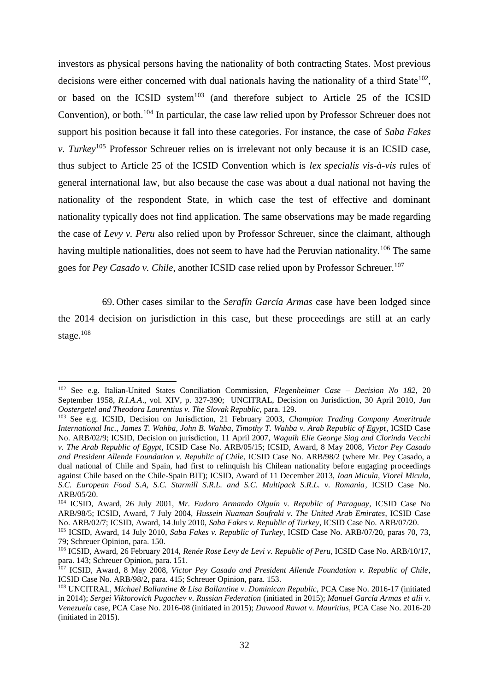investors as physical persons having the nationality of both contracting States. Most previous decisions were either concerned with dual nationals having the nationality of a third State<sup>102</sup>, or based on the ICSID system<sup>103</sup> (and therefore subject to Article 25 of the ICSID Convention), or both.<sup>104</sup> In particular, the case law relied upon by Professor Schreuer does not support his position because it fall into these categories. For instance, the case of *Saba Fakes v. Turkey*<sup>105</sup> Professor Schreuer relies on is irrelevant not only because it is an ICSID case, thus subject to Article 25 of the ICSID Convention which is *lex specialis vis-à-vis* rules of general international law, but also because the case was about a dual national not having the nationality of the respondent State, in which case the test of effective and dominant nationality typically does not find application. The same observations may be made regarding the case of *Levy v. Peru* also relied upon by Professor Schreuer, since the claimant, although having multiple nationalities, does not seem to have had the Peruvian nationality.<sup>106</sup> The same goes for *Pey Casado v. Chile*, another ICSID case relied upon by Professor Schreuer.<sup>107</sup>

69. Other cases similar to the *Serafín García Armas* case have been lodged since the 2014 decision on jurisdiction in this case, but these proceedings are still at an early stage.<sup>108</sup>

<sup>102</sup> See e.g. Italian-United States Conciliation Commission, *Flegenheimer Case – Decision No 182*, 20 September 1958, *R.I.A.A.*, vol. XIV, p. 327-390; UNCITRAL, Decision on Jurisdiction, 30 April 2010, *Jan Oostergetel and Theodora Laurentius v. The Slovak Republic*, para. 129.

<sup>103</sup> See e.g. ICSID, Decision on Jurisdiction, 21 February 2003, *Champion Trading Company Ameritrade International Inc., James T. Wahba, John B. Wahba, Timothy T. Wahba v. Arab Republic of Egypt*, ICSID Case No. ARB/02/9; ICSID, Decision on jurisdiction, 11 April 2007, *Waguih Elie George Siag and Clorinda Vecchi v. The Arab Republic of Egypt*, ICSID Case No. ARB/05/15; ICSID, Award, 8 May 2008, *Victor Pey Casado and President Allende Foundation v. Republic of Chile*, ICSID Case No. ARB/98/2 (where Mr. Pey Casado, a dual national of Chile and Spain, had first to relinquish his Chilean nationality before engaging proceedings against Chile based on the Chile-Spain BIT); ICSID, Award of 11 December 2013, *Ioan Micula, Viorel Micula, S.C. European Food S.A, S.C. Starmill S.R.L. and S.C. Multipack S.R.L. v. Romania*, ICSID Case No. ARB/05/20.

<sup>104</sup> ICSID, Award, 26 July 2001, *Mr. Eudoro Armando Olguín v. Republic of Paraguay*, ICSID Case No ARB/98/5; ICSID, Award, 7 July 2004, *Hussein Nuaman Soufraki v. The United Arab Emirates*, ICSID Case No. ARB/02/7; ICSID, Award, 14 July 2010, *Saba Fakes v. Republic of Turkey*, ICSID Case No. ARB/07/20.

<sup>105</sup> ICSID, Award, 14 July 2010, *Saba Fakes v. Republic of Turkey*, ICSID Case No. ARB/07/20, paras 70, 73, 79; Schreuer Opinion, para. 150.

<sup>106</sup> ICSID, Award, 26 February 2014, *Renée Rose Levy de Levi v. Republic of Peru*, ICSID Case No. ARB/10/17, para. 143; Schreuer Opinion, para. 151.

<sup>107</sup> ICSID, Award, 8 May 2008, *Victor Pey Casado and President Allende Foundation v. Republic of Chile*, ICSID Case No. ARB/98/2, para. 415; Schreuer Opinion, para. 153.

<sup>108</sup> UNCITRAL, *Michael Ballantine & Lisa Ballantine v. Dominican Republic*, PCA Case No. 2016-17 (initiated in 2014); *Sergei Viktorovich Pugachev v. Russian Federation* (initiated in 2015); *Manuel García Armas et alii v. Venezuela* case, PCA Case No. 2016-08 (initiated in 2015); *Dawood Rawat v. Mauritius*, PCA Case No. 2016-20 (initiated in 2015).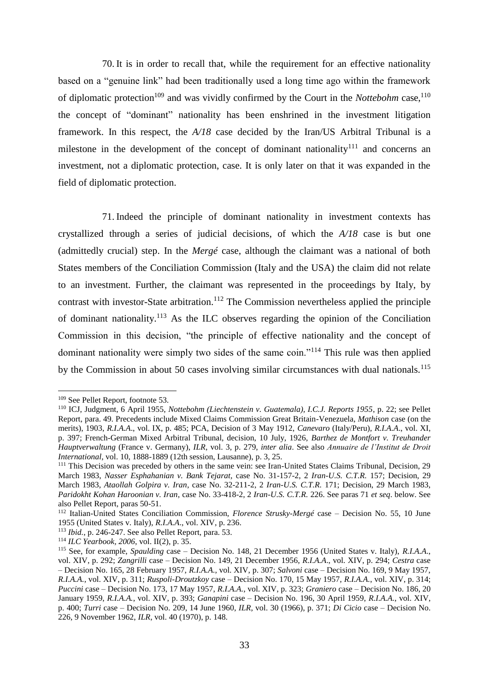<span id="page-32-0"></span>70. It is in order to recall that, while the requirement for an effective nationality based on a "genuine link" had been traditionally used a long time ago within the framework of diplomatic protection<sup>109</sup> and was vividly confirmed by the Court in the *Nottebohm* case,<sup>110</sup> the concept of "dominant" nationality has been enshrined in the investment litigation framework. In this respect, the *A/18* case decided by the Iran/US Arbitral Tribunal is a milestone in the development of the concept of dominant nationality<sup>111</sup> and concerns an investment, not a diplomatic protection, case. It is only later on that it was expanded in the field of diplomatic protection.

<span id="page-32-1"></span>71. Indeed the principle of dominant nationality in investment contexts has crystallized through a series of judicial decisions, of which the *A/18* case is but one (admittedly crucial) step. In the *Mergé* case, although the claimant was a national of both States members of the Conciliation Commission (Italy and the USA) the claim did not relate to an investment. Further, the claimant was represented in the proceedings by Italy, by contrast with investor-State arbitration.<sup>112</sup> The Commission nevertheless applied the principle of dominant nationality.<sup>113</sup> As the ILC observes regarding the opinion of the Conciliation Commission in this decision, "the principle of effective nationality and the concept of dominant nationality were simply two sides of the same coin."<sup>114</sup> This rule was then applied by the Commission in about 50 cases involving similar circumstances with dual nationals.<sup>115</sup>

<sup>109</sup> See Pellet Report, footnote 53.

<sup>110</sup> ICJ, Judgment, 6 April 1955, *Nottebohm (Liechtenstein v. Guatemala), I.C.J. Reports 1955*, p. 22; see Pellet Report, para. 49. Precedents include Mixed Claims Commission Great Britain-Venezuela, *Mathison* case (on the merits), 1903, *R.I.A.A*., vol. IX, p. 485; PCA, Decision of 3 May 1912, *Canevaro* (Italy/Peru), *R.I.A.A*., vol. XI, p. 397; French-German Mixed Arbitral Tribunal, decision, 10 July, 1926, *Barthez de Montfort v. Treuhander Hauptverwaltung* (France v. Germany), *ILR*, vol. 3, p. 279, *inter alia*. See also *Annuaire de l'Institut de Droit International*, vol. 10, 1888-1889 (12th session, Lausanne), p. 3, 25.

<sup>&</sup>lt;sup>111</sup> This Decision was preceded by others in the same vein: see Iran-United States Claims Tribunal, Decision, 29 March 1983, *Nasser Esphahanian v. Bank Tejarat,* case No. 31-157-2, 2 *Iran-U.S. C.T.R.* 157; Decision, 29 March 1983, *Ataollah Golpira v. Iran*, case No. 32-211-2, 2 *Iran-U.S. C.T.R.* 171; Decision, 29 March 1983, *Paridokht Kohan Haroonian v. Iran*, case No. 33-418-2, 2 *Iran-U.S. C.T.R.* 226. See paras [71](#page-32-1) *et seq*. below. See also Pellet Report, paras 50-51.

<sup>112</sup> Italian-United States Conciliation Commission, *Florence Strusky-Mergé* case – Decision No. 55, 10 June 1955 (United States v. Italy), *R.I.A.A*., vol. XIV, p. 236.

<sup>113</sup> *Ibid.*, p. 246-247. See also Pellet Report, para. 53.

<sup>114</sup> *ILC Yearbook, 2006*, vol. II(2), p. 35.

<sup>115</sup> See, for example, *Spaulding* case – Decision No. 148, 21 December 1956 (United States v. Italy), *R.I.A.A*., vol. XIV, p. 292; *Zangrilli* case *–* Decision No. 149, 21 December 1956, *R.I.A.A*., vol. XIV, p. 294; *Cestra* case – Decision No. 165, 28 February 1957, *R.I.A.A.*, vol. XIV, p. 307; *Salvoni* case – Decision No. 169, 9 May 1957, *R.I.A.A.*, vol. XIV, p. 311; *Ruspoli-Droutzkoy* case – Decision No. 170, 15 May 1957, *R.I.A.A.*, vol. XIV, p. 314; *Puccini* case – Decision No. 173, 17 May 1957, *R.I.A.A.*, vol. XIV, p. 323; *Graniero* case – Decision No. 186, 20 January 1959, *R.I.A.A.*, vol. XIV, p. 393; *Ganapini* case – Decision No. 196, 30 April 1959, *R.I.A.A.*, vol. XIV, p. 400; *Turri* case – Decision No. 209, 14 June 1960, *ILR*, vol. 30 (1966), p. 371; *Di Cicio* case – Decision No. 226, 9 November 1962, *ILR*, vol. 40 (1970), p. 148.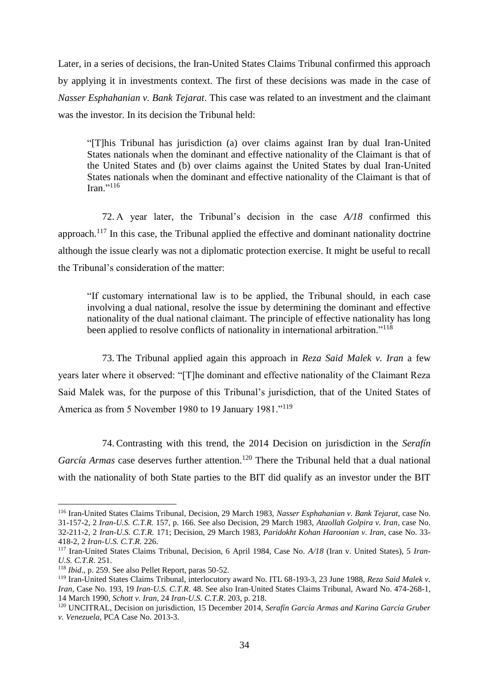Later, in a series of decisions, the Iran-United States Claims Tribunal confirmed this approach by applying it in investments context. The first of these decisions was made in the case of *Nasser Esphahanian v. Bank Tejarat*. This case was related to an investment and the claimant was the investor. In its decision the Tribunal held:

"[T]his Tribunal has jurisdiction (a) over claims against Iran by dual Iran-United States nationals when the dominant and effective nationality of the Claimant is that of the United States and (b) over claims against the United States by dual Iran-United States nationals when the dominant and effective nationality of the Claimant is that of Iran." $^{116}$ 

72. A year later, the Tribunal's decision in the case *A/18* confirmed this approach.<sup>117</sup> In this case, the Tribunal applied the effective and dominant nationality doctrine although the issue clearly was not a diplomatic protection exercise. It might be useful to recall the Tribunal's consideration of the matter:

"If customary international law is to be applied, the Tribunal should, in each case involving a dual national, resolve the issue by determining the dominant and effective nationality of the dual national claimant. The principle of effective nationality has long been applied to resolve conflicts of nationality in international arbitration."<sup>118</sup>

<span id="page-33-0"></span>73. The Tribunal applied again this approach in *Reza Said Malek v. Iran* a few years later where it observed: "[T]he dominant and effective nationality of the Claimant Reza Said Malek was, for the purpose of this Tribunal's jurisdiction, that of the United States of America as from 5 November 1980 to 19 January 1981."<sup>119</sup>

74. Contrasting with this trend, the 2014 Decision on jurisdiction in the *Serafín*  García Armas case deserves further attention.<sup>120</sup> There the Tribunal held that a dual national with the nationality of both State parties to the BIT did qualify as an investor under the BIT

<sup>116</sup> Iran-United States Claims Tribunal, Decision, 29 March 1983, *Nasser Esphahanian v. Bank Tejarat,* case No. 31-157-2, 2 *Iran-U.S. C.T.R.* 157, p. 166. See also Decision, 29 March 1983, *Ataollah Golpira v. Iran*, case No. 32-211-2, 2 *Iran-U.S. C.T.R.* 171; Decision, 29 March 1983, *Paridokht Kohan Haroonian v. Iran*, case No. 33- 418-2, 2 *Iran-U.S. C.T.R.* 226.

<sup>117</sup> Iran-United States Claims Tribunal, Decision, 6 April 1984, Case No. *A/18* (Iran v. United States), 5 *Iran-U.S. C.T.R.* 251.

<sup>118</sup> *Ibid*., p. 259. See also Pellet Report, paras 50-52.

<sup>119</sup> Iran-United States Claims Tribunal, interlocutory award No. ITL 68-193-3, 23 June 1988, *Reza Said Malek v. Iran*, Case No. 193, 19 *Iran-U.S. C.T.R*. 48. See also Iran-United States Claims Tribunal, Award No. 474-268-1, 14 March 1990, *Schott v. Iran*, 24 *Iran-U.S. C.T.R*. 203, p. 218.

<sup>120</sup> UNCITRAL, Decision on jurisdiction, 15 December 2014, *Serafín García Armas and Karina García Gruber v. Venezuela*, PCA Case No. 2013-3.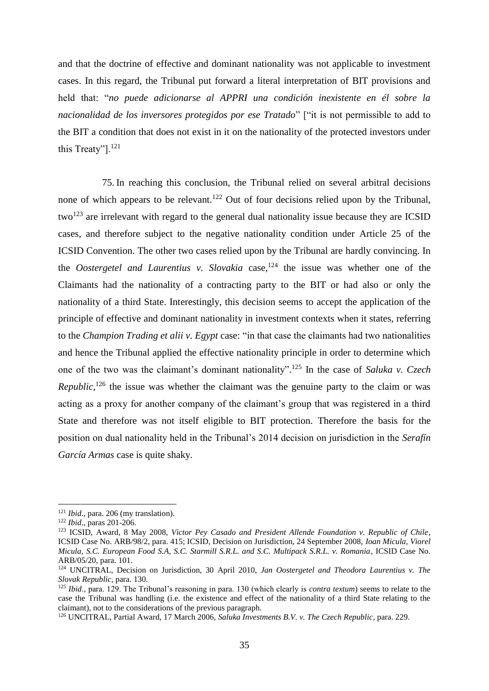and that the doctrine of effective and dominant nationality was not applicable to investment cases. In this regard, the Tribunal put forward a literal interpretation of BIT provisions and held that: "*no puede adicionarse al APPRI una condición inexistente en él sobre la nacionalidad de los inversores protegidos por ese Tratado*" ["it is not permissible to add to the BIT a condition that does not exist in it on the nationality of the protected investors under this Treaty"].<sup>121</sup>

75. In reaching this conclusion, the Tribunal relied on several arbitral decisions none of which appears to be relevant.<sup>122</sup> Out of four decisions relied upon by the Tribunal,  $two^{123}$  are irrelevant with regard to the general dual nationality issue because they are ICSID cases, and therefore subject to the negative nationality condition under Article 25 of the ICSID Convention. The other two cases relied upon by the Tribunal are hardly convincing. In the *Oostergetel and Laurentius v. Slovakia* case,<sup>124</sup> the issue was whether one of the Claimants had the nationality of a contracting party to the BIT or had also or only the nationality of a third State. Interestingly, this decision seems to accept the application of the principle of effective and dominant nationality in investment contexts when it states, referring to the *Champion Trading et alii v. Egypt* case: "in that case the claimants had two nationalities and hence the Tribunal applied the effective nationality principle in order to determine which one of the two was the claimant's dominant nationality". <sup>125</sup> In the case of *Saluka v. Czech Republic*,<sup>126</sup> the issue was whether the claimant was the genuine party to the claim or was acting as a proxy for another company of the claimant's group that was registered in a third State and therefore was not itself eligible to BIT protection. Therefore the basis for the position on dual nationality held in the Tribunal's 2014 decision on jurisdiction in the *Serafín García Armas* case is quite shaky.

<sup>121</sup> *Ibid*., para. 206 (my translation).

<sup>122</sup> *Ibid*., paras 201-206.

<sup>123</sup> ICSID, Award, 8 May 2008, *Victor Pey Casado and President Allende Foundation v. Republic of Chile*, ICSID Case No. ARB/98/2, para. 415; ICSID, Decision on Jurisdiction, 24 September 2008, *Ioan Micula, Viorel Micula, S.C. European Food S.A, S.C. Starmill S.R.L. and S.C. Multipack S.R.L. v. Romania*, ICSID Case No. ARB/05/20, para. 101.

<sup>124</sup> UNCITRAL, Decision on Jurisdiction, 30 April 2010, *Jan Oostergetel and Theodora Laurentius v. The Slovak Republic*, para. 130.

<sup>125</sup> *Ibid*., para. 129. The Tribunal's reasoning in para. 130 (which clearly is *contra textum*) seems to relate to the case the Tribunal was handling (i.e. the existence and effect of the nationality of a third State relating to the claimant), not to the considerations of the previous paragraph.

<sup>126</sup> UNCITRAL, Partial Award, 17 March 2006, *Saluka Investments B.V. v. The Czech Republic*, para. 229.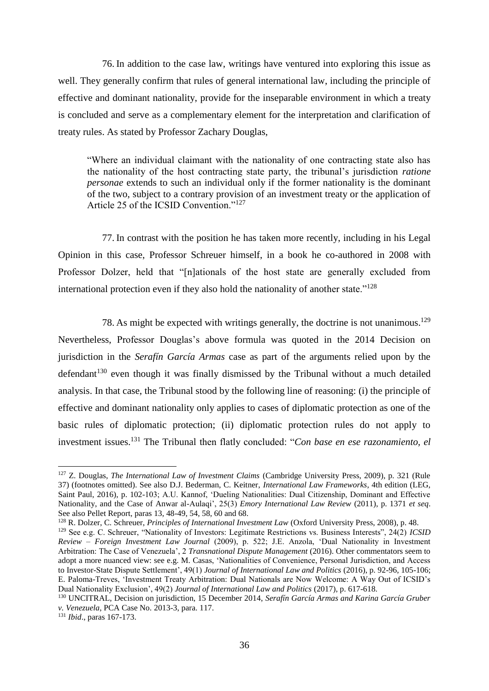76. In addition to the case law, writings have ventured into exploring this issue as well. They generally confirm that rules of general international law, including the principle of effective and dominant nationality, provide for the inseparable environment in which a treaty is concluded and serve as a complementary element for the interpretation and clarification of treaty rules. As stated by Professor Zachary Douglas,

"Where an individual claimant with the nationality of one contracting state also has the nationality of the host contracting state party, the tribunal's jurisdiction *ratione personae* extends to such an individual only if the former nationality is the dominant of the two, subject to a contrary provision of an investment treaty or the application of Article 25 of the ICSID Convention."<sup>127</sup>

77. In contrast with the position he has taken more recently, including in his Legal Opinion in this case, Professor Schreuer himself, in a book he co-authored in 2008 with Professor Dolzer, held that "[n]ationals of the host state are generally excluded from international protection even if they also hold the nationality of another state."<sup>128</sup>

78. As might be expected with writings generally, the doctrine is not unanimous. 129 Nevertheless, Professor Douglas's above formula was quoted in the 2014 Decision on jurisdiction in the *Serafín García Armas* case as part of the arguments relied upon by the defendant $130$  even though it was finally dismissed by the Tribunal without a much detailed analysis. In that case, the Tribunal stood by the following line of reasoning: (i) the principle of effective and dominant nationality only applies to cases of diplomatic protection as one of the basic rules of diplomatic protection; (ii) diplomatic protection rules do not apply to investment issues.<sup>131</sup> The Tribunal then flatly concluded: "*Con base en ese razonamiento, el* 

<sup>127</sup> Z. Douglas, *The International Law of Investment Claims* (Cambridge University Press, 2009), p. 321 (Rule 37) (footnotes omitted). See also D.J. Bederman, C. Keitner, *International Law Frameworks*, 4th edition (LEG, Saint Paul, 2016), p. 102-103; A.U. Kannof, 'Dueling Nationalities: Dual Citizenship, Dominant and Effective Nationality, and the Case of Anwar al-Aulaqi', 25(3) *Emory International Law Review* (2011), p. 1371 *et seq*. See also Pellet Report, paras 13, 48-49, 54, 58, 60 and 68.

<sup>128</sup> R. Dolzer, C. Schreuer, *Principles of International Investment Law* (Oxford University Press, 2008), p. 48.

<sup>129</sup> See e.g. C. Schreuer, "Nationality of Investors: Legitimate Restrictions vs. Business Interests", 24(2) *ICSID Review – Foreign Investment Law Journal* (2009), p. 522; J.E. Anzola, 'Dual Nationality in Investment Arbitration: The Case of Venezuela', 2 *Transnational Dispute Management* (2016). Other commentators seem to adopt a more nuanced view: see e.g. M. Casas, 'Nationalities of Convenience, Personal Jurisdiction, and Access to Investor-State Dispute Settlement', 49(1) *Journal of International Law and Politics* (2016), p. 92-96, 105-106; E. Paloma-Treves, 'Investment Treaty Arbitration: Dual Nationals are Now Welcome: A Way Out of ICSID's Dual Nationality Exclusion', 49(2) *Journal of International Law and Politics* (2017), p. 617-618.

<sup>130</sup> UNCITRAL, Decision on jurisdiction, 15 December 2014, *Serafín García Armas and Karina García Gruber v. Venezuela*, PCA Case No. 2013-3, para. 117.

<sup>131</sup> *Ibid*., paras 167-173.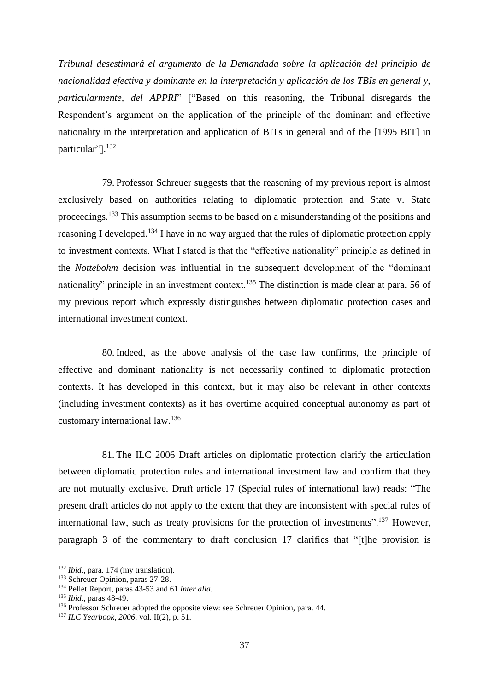*Tribunal desestimará el argumento de la Demandada sobre la aplicación del principio de nacionalidad efectiva y dominante en la interpretación y aplicación de los TBIs en general y, particularmente, del APPRI*" ["Based on this reasoning, the Tribunal disregards the Respondent's argument on the application of the principle of the dominant and effective nationality in the interpretation and application of BITs in general and of the [1995 BIT] in particular"].<sup>132</sup>

79. Professor Schreuer suggests that the reasoning of my previous report is almost exclusively based on authorities relating to diplomatic protection and State v. State proceedings.<sup>133</sup> This assumption seems to be based on a misunderstanding of the positions and reasoning I developed.<sup>134</sup> I have in no way argued that the rules of diplomatic protection apply to investment contexts. What I stated is that the "effective nationality" principle as defined in the *Nottebohm* decision was influential in the subsequent development of the "dominant nationality" principle in an investment context.<sup>135</sup> The distinction is made clear at para. 56 of my previous report which expressly distinguishes between diplomatic protection cases and international investment context.

<span id="page-36-0"></span>80. Indeed, as the above analysis of the case law confirms, the principle of effective and dominant nationality is not necessarily confined to diplomatic protection contexts. It has developed in this context, but it may also be relevant in other contexts (including investment contexts) as it has overtime acquired conceptual autonomy as part of customary international law.<sup>136</sup>

81. The ILC 2006 Draft articles on diplomatic protection clarify the articulation between diplomatic protection rules and international investment law and confirm that they are not mutually exclusive. Draft article 17 (Special rules of international law) reads: "The present draft articles do not apply to the extent that they are inconsistent with special rules of international law, such as treaty provisions for the protection of investments".<sup>137</sup> However, paragraph 3 of the commentary to draft conclusion 17 clarifies that "[t]he provision is

<sup>132</sup> *Ibid*., para. 174 (my translation).

<sup>&</sup>lt;sup>133</sup> Schreuer Opinion, paras 27-28.

<sup>134</sup> Pellet Report, paras 43-53 and 61 *inter alia*.

<sup>135</sup> *Ibid*., paras 48-49.

<sup>&</sup>lt;sup>136</sup> Professor Schreuer adopted the opposite view: see Schreuer Opinion, para. 44.

<sup>137</sup> *ILC Yearbook, 2006*, vol. II(2), p. 51.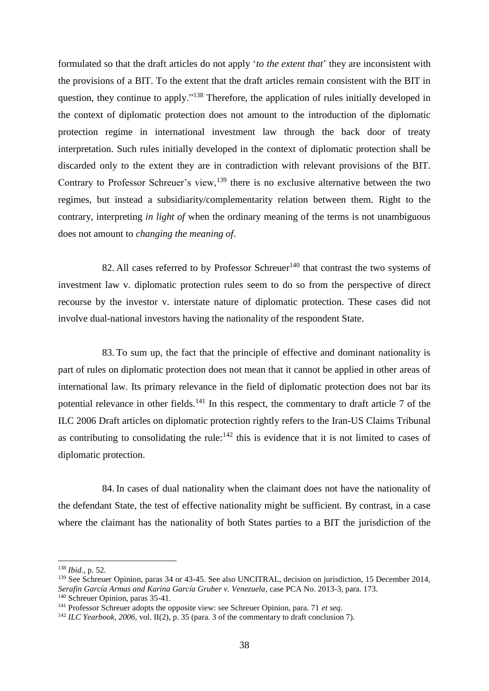formulated so that the draft articles do not apply '*to the extent that*' they are inconsistent with the provisions of a BIT. To the extent that the draft articles remain consistent with the BIT in question, they continue to apply."<sup>138</sup> Therefore, the application of rules initially developed in the context of diplomatic protection does not amount to the introduction of the diplomatic protection regime in international investment law through the back door of treaty interpretation. Such rules initially developed in the context of diplomatic protection shall be discarded only to the extent they are in contradiction with relevant provisions of the BIT. Contrary to Professor Schreuer's view,  $139$  there is no exclusive alternative between the two regimes, but instead a subsidiarity/complementarity relation between them. Right to the contrary, interpreting *in light of* when the ordinary meaning of the terms is not unambiguous does not amount to *changing the meaning of*.

82. All cases referred to by Professor Schreuer<sup>140</sup> that contrast the two systems of investment law v. diplomatic protection rules seem to do so from the perspective of direct recourse by the investor v. interstate nature of diplomatic protection. These cases did not involve dual-national investors having the nationality of the respondent State.

83. To sum up, the fact that the principle of effective and dominant nationality is part of rules on diplomatic protection does not mean that it cannot be applied in other areas of international law. Its primary relevance in the field of diplomatic protection does not bar its potential relevance in other fields.<sup>141</sup> In this respect, the commentary to draft article 7 of the ILC 2006 Draft articles on diplomatic protection rightly refers to the Iran-US Claims Tribunal as contributing to consolidating the rule: $142$  this is evidence that it is not limited to cases of diplomatic protection.

84. In cases of dual nationality when the claimant does not have the nationality of the defendant State, the test of effective nationality might be sufficient. By contrast, in a case where the claimant has the nationality of both States parties to a BIT the jurisdiction of the

<sup>138</sup> *Ibid.*, p. 52.

<sup>&</sup>lt;sup>139</sup> See Schreuer Opinion, paras 34 or 43-45. See also UNCITRAL, decision on jurisdiction, 15 December 2014, *Serafin García Armas and Karina García Gruber v. Venezuela*, case PCA No. 2013-3, para. 173.

<sup>140</sup> Schreuer Opinion, paras 35-41*.*

<sup>141</sup> Professor Schreuer adopts the opposite view: see Schreuer Opinion, para. 71 *et seq*.

<sup>&</sup>lt;sup>142</sup> *ILC Yearbook, 2006, vol.* II(2), p. 35 (para. 3 of the commentary to draft conclusion 7).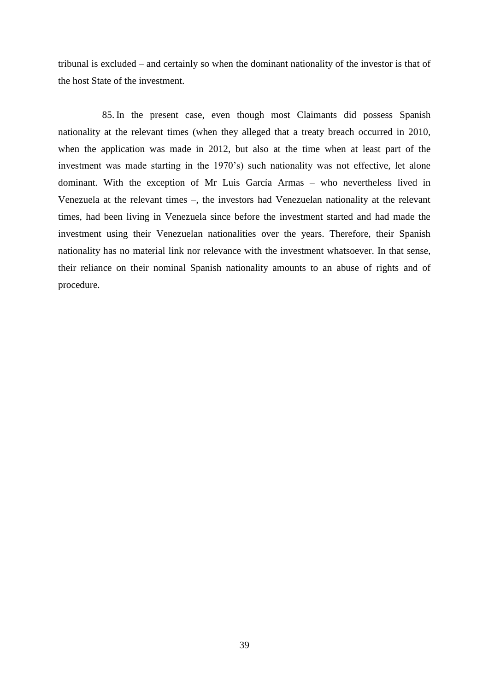tribunal is excluded – and certainly so when the dominant nationality of the investor is that of the host State of the investment.

85. In the present case, even though most Claimants did possess Spanish nationality at the relevant times (when they alleged that a treaty breach occurred in 2010, when the application was made in 2012, but also at the time when at least part of the investment was made starting in the 1970's) such nationality was not effective, let alone dominant. With the exception of Mr Luis García Armas – who nevertheless lived in Venezuela at the relevant times –, the investors had Venezuelan nationality at the relevant times, had been living in Venezuela since before the investment started and had made the investment using their Venezuelan nationalities over the years. Therefore, their Spanish nationality has no material link nor relevance with the investment whatsoever. In that sense, their reliance on their nominal Spanish nationality amounts to an abuse of rights and of procedure.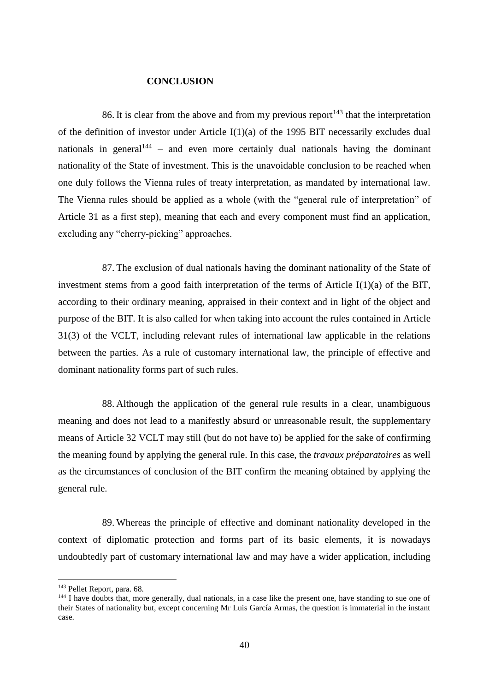#### **CONCLUSION**

86. It is clear from the above and from my previous report<sup>143</sup> that the interpretation of the definition of investor under Article I(1)(a) of the 1995 BIT necessarily excludes dual nationals in general<sup>144</sup> – and even more certainly dual nationals having the dominant nationality of the State of investment. This is the unavoidable conclusion to be reached when one duly follows the Vienna rules of treaty interpretation, as mandated by international law. The Vienna rules should be applied as a whole (with the "general rule of interpretation" of Article 31 as a first step), meaning that each and every component must find an application, excluding any "cherry-picking" approaches.

87. The exclusion of dual nationals having the dominant nationality of the State of investment stems from a good faith interpretation of the terms of Article I(1)(a) of the BIT, according to their ordinary meaning, appraised in their context and in light of the object and purpose of the BIT. It is also called for when taking into account the rules contained in Article 31(3) of the VCLT, including relevant rules of international law applicable in the relations between the parties. As a rule of customary international law, the principle of effective and dominant nationality forms part of such rules.

88. Although the application of the general rule results in a clear, unambiguous meaning and does not lead to a manifestly absurd or unreasonable result, the supplementary means of Article 32 VCLT may still (but do not have to) be applied for the sake of confirming the meaning found by applying the general rule. In this case, the *travaux préparatoires* as well as the circumstances of conclusion of the BIT confirm the meaning obtained by applying the general rule.

89. Whereas the principle of effective and dominant nationality developed in the context of diplomatic protection and forms part of its basic elements, it is nowadays undoubtedly part of customary international law and may have a wider application, including

<sup>143</sup> Pellet Report, para. 68.

<sup>&</sup>lt;sup>144</sup> I have doubts that, more generally, dual nationals, in a case like the present one, have standing to sue one of their States of nationality but, except concerning Mr Luis García Armas, the question is immaterial in the instant case.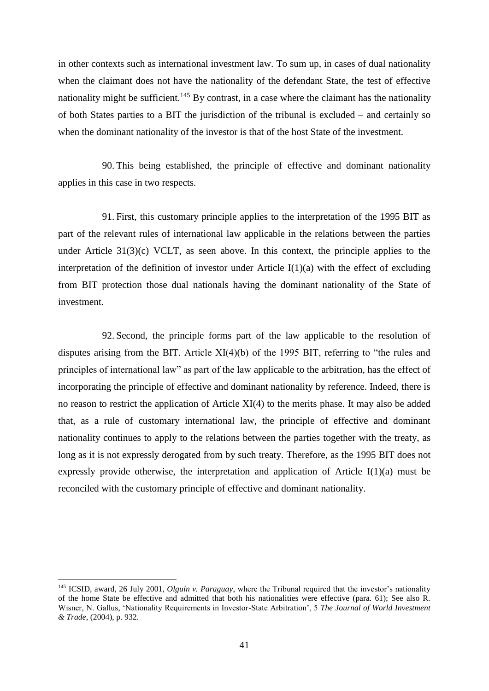in other contexts such as international investment law. To sum up, in cases of dual nationality when the claimant does not have the nationality of the defendant State, the test of effective nationality might be sufficient.<sup>145</sup> By contrast, in a case where the claimant has the nationality of both States parties to a BIT the jurisdiction of the tribunal is excluded – and certainly so when the dominant nationality of the investor is that of the host State of the investment.

90. This being established, the principle of effective and dominant nationality applies in this case in two respects.

91. First, this customary principle applies to the interpretation of the 1995 BIT as part of the relevant rules of international law applicable in the relations between the parties under Article  $31(3)(c)$  VCLT, as seen above. In this context, the principle applies to the interpretation of the definition of investor under Article  $I(1)(a)$  with the effect of excluding from BIT protection those dual nationals having the dominant nationality of the State of investment.

92. Second, the principle forms part of the law applicable to the resolution of disputes arising from the BIT. Article XI(4)(b) of the 1995 BIT, referring to "the rules and principles of international law" as part of the law applicable to the arbitration, has the effect of incorporating the principle of effective and dominant nationality by reference. Indeed, there is no reason to restrict the application of Article XI(4) to the merits phase. It may also be added that, as a rule of customary international law, the principle of effective and dominant nationality continues to apply to the relations between the parties together with the treaty, as long as it is not expressly derogated from by such treaty. Therefore, as the 1995 BIT does not expressly provide otherwise, the interpretation and application of Article  $I(1)(a)$  must be reconciled with the customary principle of effective and dominant nationality.

<sup>145</sup> ICSID, award, 26 July 2001, *Olguín v. Paraguay*, where the Tribunal required that the investor's nationality of the home State be effective and admitted that both his nationalities were effective (para. 61); See also R. Wisner, N. Gallus, 'Nationality Requirements in Investor-State Arbitration', 5 *The Journal of World Investment & Trade*, (2004), p. 932.